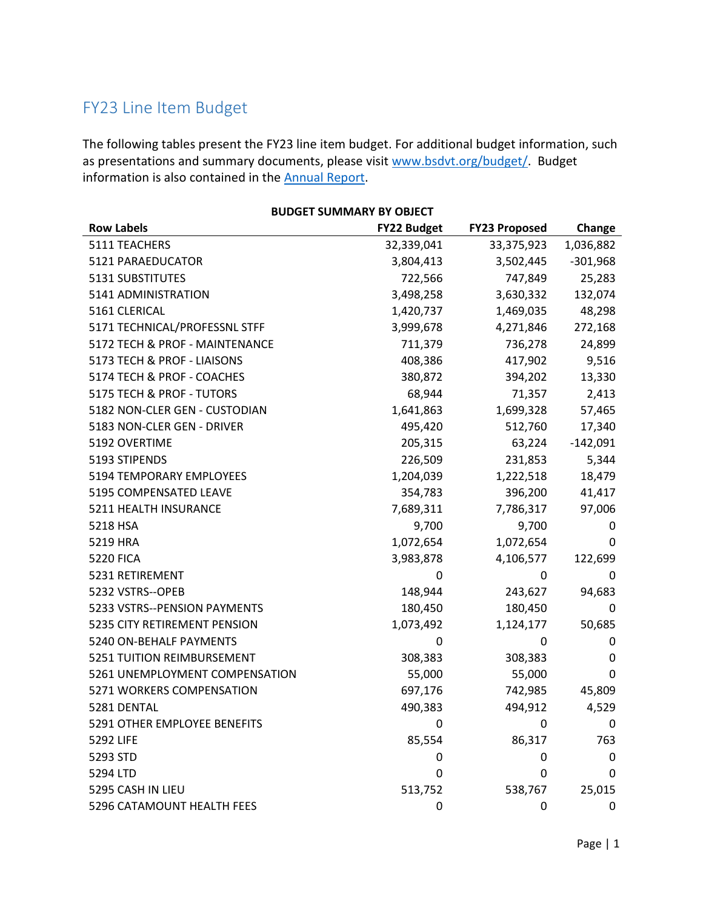## FY23 Line Item Budget

The following tables present the FY23 line item budget. For additional budget information, such as presentations and summary documents, please visit www.bsdvt.org/budget/. Budget information is also contained in the **Annual Report**.

| <b>BUDGET SUMMARY BY OBJECT</b> |                    |                      |            |
|---------------------------------|--------------------|----------------------|------------|
| <b>Row Labels</b>               | <b>FY22 Budget</b> | <b>FY23 Proposed</b> | Change     |
| 5111 TEACHERS                   | 32,339,041         | 33,375,923           | 1,036,882  |
| 5121 PARAEDUCATOR               | 3,804,413          | 3,502,445            | $-301,968$ |
| 5131 SUBSTITUTES                | 722,566            | 747,849              | 25,283     |
| 5141 ADMINISTRATION             | 3,498,258          | 3,630,332            | 132,074    |
| 5161 CLERICAL                   | 1,420,737          | 1,469,035            | 48,298     |
| 5171 TECHNICAL/PROFESSNL STFF   | 3,999,678          | 4,271,846            | 272,168    |
| 5172 TECH & PROF - MAINTENANCE  | 711,379            | 736,278              | 24,899     |
| 5173 TECH & PROF - LIAISONS     | 408,386            | 417,902              | 9,516      |
| 5174 TECH & PROF - COACHES      | 380,872            | 394,202              | 13,330     |
| 5175 TECH & PROF - TUTORS       | 68,944             | 71,357               | 2,413      |
| 5182 NON-CLER GEN - CUSTODIAN   | 1,641,863          | 1,699,328            | 57,465     |
| 5183 NON-CLER GEN - DRIVER      | 495,420            | 512,760              | 17,340     |
| 5192 OVERTIME                   | 205,315            | 63,224               | $-142,091$ |
| 5193 STIPENDS                   | 226,509            | 231,853              | 5,344      |
| 5194 TEMPORARY EMPLOYEES        | 1,204,039          | 1,222,518            | 18,479     |
| 5195 COMPENSATED LEAVE          | 354,783            | 396,200              | 41,417     |
| 5211 HEALTH INSURANCE           | 7,689,311          | 7,786,317            | 97,006     |
| 5218 HSA                        | 9,700              | 9,700                | 0          |
| 5219 HRA                        | 1,072,654          | 1,072,654            | 0          |
| <b>5220 FICA</b>                | 3,983,878          | 4,106,577            | 122,699    |
| 5231 RETIREMENT                 | 0                  | 0                    | 0          |
| 5232 VSTRS--OPEB                | 148,944            | 243,627              | 94,683     |
| 5233 VSTRS--PENSION PAYMENTS    | 180,450            | 180,450              | 0          |
| 5235 CITY RETIREMENT PENSION    | 1,073,492          | 1,124,177            | 50,685     |
| 5240 ON-BEHALF PAYMENTS         | 0                  | 0                    | 0          |
| 5251 TUITION REIMBURSEMENT      | 308,383            | 308,383              | 0          |
| 5261 UNEMPLOYMENT COMPENSATION  | 55,000             | 55,000               | $\Omega$   |
| 5271 WORKERS COMPENSATION       | 697,176            | 742,985              | 45,809     |
| 5281 DENTAL                     | 490,383            | 494,912              | 4,529      |
| 5291 OTHER EMPLOYEE BENEFITS    | 0                  | 0                    | 0          |
| 5292 LIFE                       | 85,554             | 86,317               | 763        |
| 5293 STD                        | 0                  | 0                    | 0          |
| 5294 LTD                        | 0                  | 0                    | 0          |
| 5295 CASH IN LIEU               | 513,752            | 538,767              | 25,015     |
| 5296 CATAMOUNT HEALTH FEES      | 0                  | $\mathbf 0$          | 0          |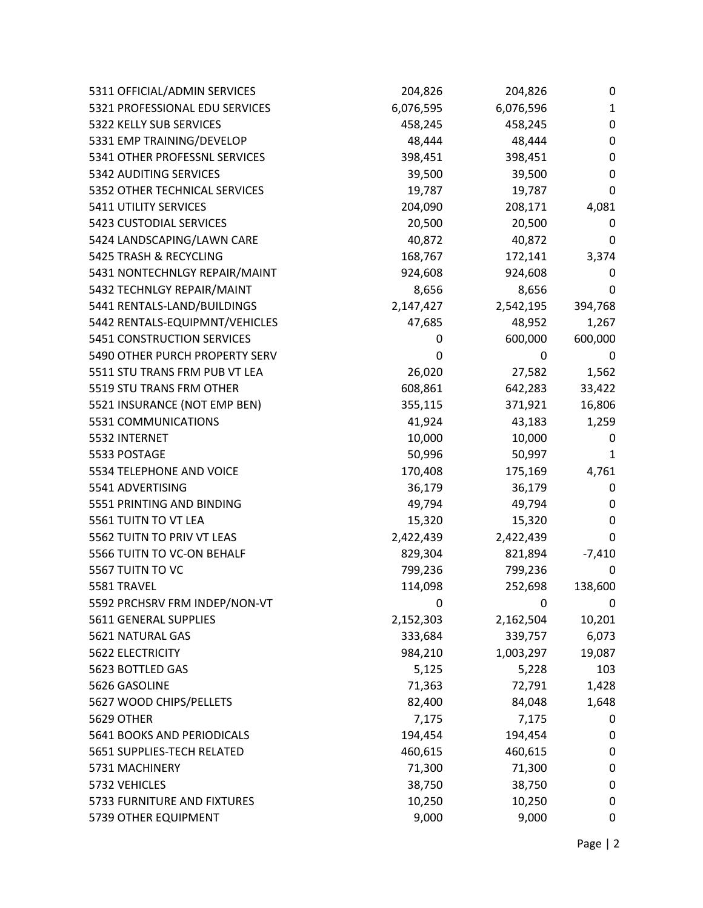| 5311 OFFICIAL/ADMIN SERVICES      | 204,826   | 204,826   | 0                |
|-----------------------------------|-----------|-----------|------------------|
| 5321 PROFESSIONAL EDU SERVICES    | 6,076,595 | 6,076,596 | 1                |
| 5322 KELLY SUB SERVICES           | 458,245   | 458,245   | $\boldsymbol{0}$ |
| 5331 EMP TRAINING/DEVELOP         | 48,444    | 48,444    | 0                |
| 5341 OTHER PROFESSNL SERVICES     | 398,451   | 398,451   | 0                |
| 5342 AUDITING SERVICES            | 39,500    | 39,500    | 0                |
| 5352 OTHER TECHNICAL SERVICES     | 19,787    | 19,787    | 0                |
| 5411 UTILITY SERVICES             | 204,090   | 208,171   | 4,081            |
| 5423 CUSTODIAL SERVICES           | 20,500    | 20,500    | 0                |
| 5424 LANDSCAPING/LAWN CARE        | 40,872    | 40,872    | 0                |
| 5425 TRASH & RECYCLING            | 168,767   | 172,141   | 3,374            |
| 5431 NONTECHNLGY REPAIR/MAINT     | 924,608   | 924,608   | 0                |
| 5432 TECHNLGY REPAIR/MAINT        | 8,656     | 8,656     | 0                |
| 5441 RENTALS-LAND/BUILDINGS       | 2,147,427 | 2,542,195 | 394,768          |
| 5442 RENTALS-EQUIPMNT/VEHICLES    | 47,685    | 48,952    | 1,267            |
| <b>5451 CONSTRUCTION SERVICES</b> | 0         | 600,000   | 600,000          |
| 5490 OTHER PURCH PROPERTY SERV    | 0         | 0         | 0                |
| 5511 STU TRANS FRM PUB VT LEA     | 26,020    | 27,582    | 1,562            |
| 5519 STU TRANS FRM OTHER          | 608,861   | 642,283   | 33,422           |
| 5521 INSURANCE (NOT EMP BEN)      | 355,115   | 371,921   | 16,806           |
| 5531 COMMUNICATIONS               | 41,924    | 43,183    | 1,259            |
| 5532 INTERNET                     | 10,000    | 10,000    | 0                |
| 5533 POSTAGE                      | 50,996    | 50,997    | 1                |
| 5534 TELEPHONE AND VOICE          | 170,408   | 175,169   | 4,761            |
| 5541 ADVERTISING                  | 36,179    | 36,179    | 0                |
| 5551 PRINTING AND BINDING         | 49,794    | 49,794    | 0                |
| 5561 TUITN TO VT LEA              | 15,320    | 15,320    | 0                |
| 5562 TUITN TO PRIV VT LEAS        | 2,422,439 | 2,422,439 | 0                |
| 5566 TUITN TO VC-ON BEHALF        | 829,304   | 821,894   | $-7,410$         |
| 5567 TUITN TO VC                  | 799,236   | 799,236   | 0                |
| 5581 TRAVEL                       | 114,098   | 252,698   | 138,600          |
| 5592 PRCHSRV FRM INDEP/NON-VT     | 0         | 0         | 0                |
| 5611 GENERAL SUPPLIES             | 2,152,303 | 2,162,504 | 10,201           |
| 5621 NATURAL GAS                  | 333,684   | 339,757   | 6,073            |
| 5622 ELECTRICITY                  | 984,210   | 1,003,297 | 19,087           |
| 5623 BOTTLED GAS                  | 5,125     | 5,228     | 103              |
| 5626 GASOLINE                     | 71,363    | 72,791    | 1,428            |
| 5627 WOOD CHIPS/PELLETS           | 82,400    | 84,048    | 1,648            |
| <b>5629 OTHER</b>                 | 7,175     | 7,175     | 0                |
| 5641 BOOKS AND PERIODICALS        | 194,454   | 194,454   | 0                |
| 5651 SUPPLIES-TECH RELATED        | 460,615   | 460,615   | 0                |
| 5731 MACHINERY                    | 71,300    | 71,300    | 0                |
| 5732 VEHICLES                     | 38,750    | 38,750    | 0                |
| 5733 FURNITURE AND FIXTURES       | 10,250    | 10,250    | 0                |
| 5739 OTHER EQUIPMENT              | 9,000     | 9,000     | 0                |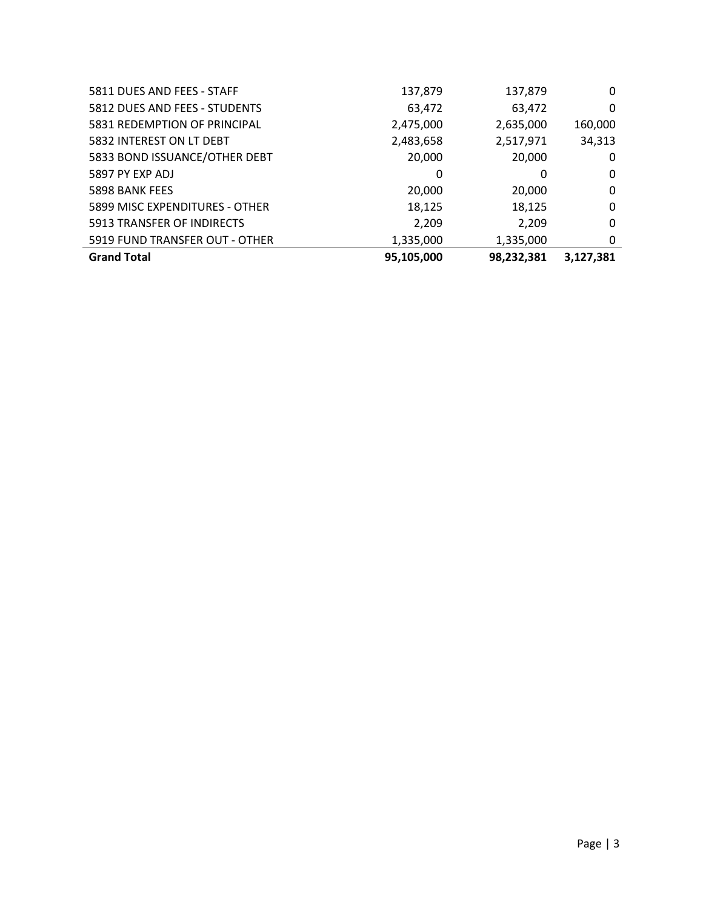| 5833 BOND ISSUANCE/OTHER DEBT  | 20,000    | 20,000    | 0 |
|--------------------------------|-----------|-----------|---|
| 5897 PY EXP ADJ                | 0         | 0         | 0 |
| 5898 BANK FEES                 | 20,000    | 20,000    | 0 |
| 5899 MISC EXPENDITURES - OTHER | 18,125    | 18,125    | 0 |
| 5913 TRANSFER OF INDIRECTS     | 2,209     | 2,209     | 0 |
| 5919 FUND TRANSFER OUT - OTHER | 1,335,000 | 1,335,000 | 0 |
|                                |           |           |   |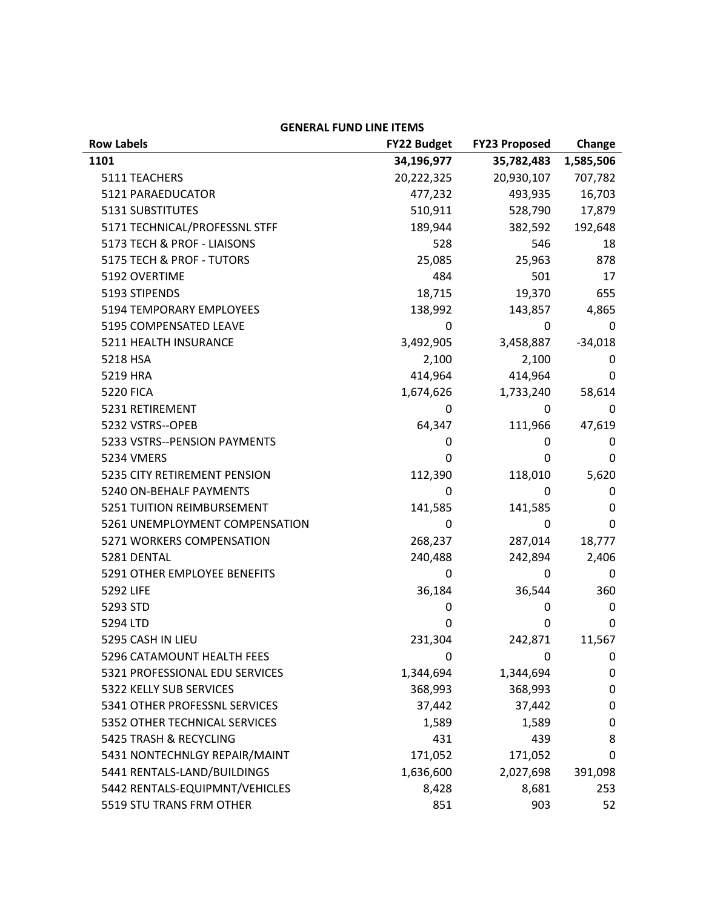| <b>Row Labels</b>              | <b>FY22 Budget</b> | <b>FY23 Proposed</b> | Change    |
|--------------------------------|--------------------|----------------------|-----------|
| 1101                           | 34,196,977         | 35,782,483           | 1,585,506 |
| 5111 TEACHERS                  | 20,222,325         | 20,930,107           | 707,782   |
| 5121 PARAEDUCATOR              | 477,232            | 493,935              | 16,703    |
| 5131 SUBSTITUTES               | 510,911            | 528,790              | 17,879    |
| 5171 TECHNICAL/PROFESSNL STFF  | 189,944            | 382,592              | 192,648   |
| 5173 TECH & PROF - LIAISONS    | 528                | 546                  | 18        |
| 5175 TECH & PROF - TUTORS      | 25,085             | 25,963               | 878       |
| 5192 OVERTIME                  | 484                | 501                  | 17        |
| 5193 STIPENDS                  | 18,715             | 19,370               | 655       |
| 5194 TEMPORARY EMPLOYEES       | 138,992            | 143,857              | 4,865     |
| 5195 COMPENSATED LEAVE         | 0                  | 0                    | 0         |
| 5211 HEALTH INSURANCE          | 3,492,905          | 3,458,887            | $-34,018$ |
| 5218 HSA                       | 2,100              | 2,100                | 0         |
| 5219 HRA                       | 414,964            | 414,964              | 0         |
| <b>5220 FICA</b>               | 1,674,626          | 1,733,240            | 58,614    |
| 5231 RETIREMENT                | 0                  | 0                    | 0         |
| 5232 VSTRS--OPEB               | 64,347             | 111,966              | 47,619    |
| 5233 VSTRS--PENSION PAYMENTS   | 0                  | 0                    | 0         |
| 5234 VMERS                     | 0                  | 0                    | 0         |
| 5235 CITY RETIREMENT PENSION   | 112,390            | 118,010              | 5,620     |
| 5240 ON-BEHALF PAYMENTS        | 0                  | 0                    | 0         |
| 5251 TUITION REIMBURSEMENT     | 141,585            | 141,585              | 0         |
| 5261 UNEMPLOYMENT COMPENSATION | 0                  | 0                    | 0         |
| 5271 WORKERS COMPENSATION      | 268,237            | 287,014              | 18,777    |
| 5281 DENTAL                    | 240,488            | 242,894              | 2,406     |
| 5291 OTHER EMPLOYEE BENEFITS   | 0                  | 0                    | 0         |
| 5292 LIFE                      | 36,184             | 36,544               | 360       |
| 5293 STD                       | 0                  | 0                    | 0         |
| 5294 LTD                       | 0                  | 0                    | 0         |
| 5295 CASH IN LIEU              | 231,304            | 242,871              | 11,567    |
| 5296 CATAMOUNT HEALTH FEES     | 0                  | 0                    | 0         |
| 5321 PROFESSIONAL EDU SERVICES | 1,344,694          | 1,344,694            | 0         |
| 5322 KELLY SUB SERVICES        | 368,993            | 368,993              | 0         |
| 5341 OTHER PROFESSNL SERVICES  | 37,442             | 37,442               | 0         |
| 5352 OTHER TECHNICAL SERVICES  | 1,589              | 1,589                | 0         |
| 5425 TRASH & RECYCLING         | 431                | 439                  | 8         |
| 5431 NONTECHNLGY REPAIR/MAINT  | 171,052            | 171,052              | 0         |
| 5441 RENTALS-LAND/BUILDINGS    | 1,636,600          | 2,027,698            | 391,098   |
| 5442 RENTALS-EQUIPMNT/VEHICLES | 8,428              | 8,681                | 253       |
| 5519 STU TRANS FRM OTHER       | 851                | 903                  | 52        |

## **GENERAL FUND LINE ITEMS**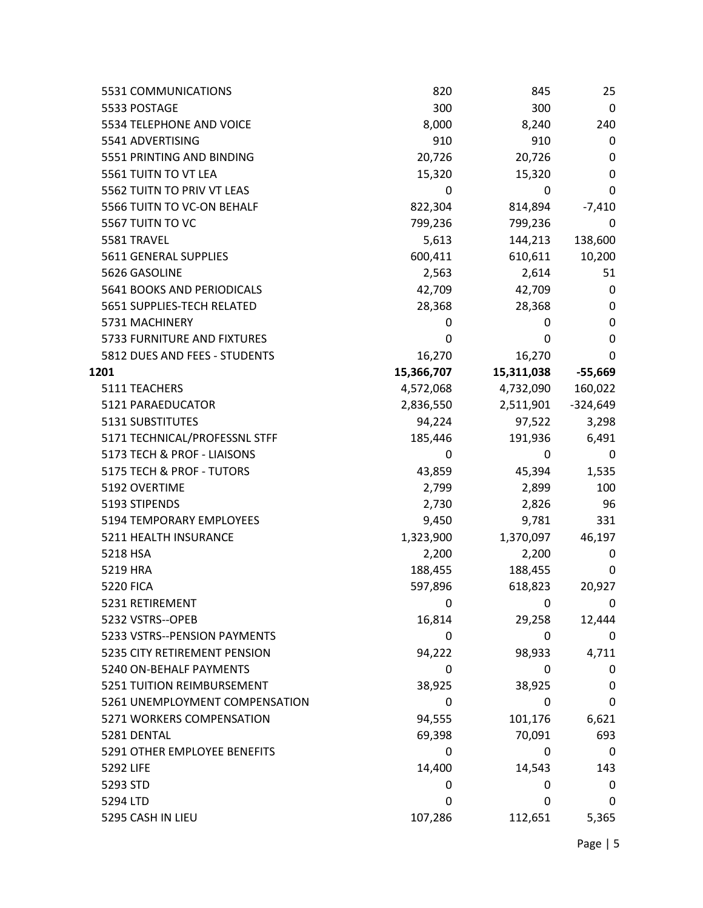| 5531 COMMUNICATIONS            | 820        | 845        | 25         |
|--------------------------------|------------|------------|------------|
| 5533 POSTAGE                   | 300        | 300        | 0          |
| 5534 TELEPHONE AND VOICE       | 8,000      | 8,240      | 240        |
| 5541 ADVERTISING               | 910        | 910        | 0          |
| 5551 PRINTING AND BINDING      | 20,726     | 20,726     | 0          |
| 5561 TUITN TO VT LEA           | 15,320     | 15,320     | 0          |
| 5562 TUITN TO PRIV VT LEAS     | 0          | 0          | 0          |
| 5566 TUITN TO VC-ON BEHALF     | 822,304    | 814,894    | $-7,410$   |
| 5567 TUITN TO VC               | 799,236    | 799,236    | 0          |
| 5581 TRAVEL                    | 5,613      | 144,213    | 138,600    |
| 5611 GENERAL SUPPLIES          | 600,411    | 610,611    | 10,200     |
| 5626 GASOLINE                  | 2,563      | 2,614      | 51         |
| 5641 BOOKS AND PERIODICALS     | 42,709     | 42,709     | 0          |
| 5651 SUPPLIES-TECH RELATED     | 28,368     | 28,368     | 0          |
| 5731 MACHINERY                 | 0          | 0          | 0          |
| 5733 FURNITURE AND FIXTURES    | 0          | 0          | 0          |
| 5812 DUES AND FEES - STUDENTS  | 16,270     | 16,270     | 0          |
| 1201                           | 15,366,707 | 15,311,038 | $-55,669$  |
| 5111 TEACHERS                  | 4,572,068  | 4,732,090  | 160,022    |
| 5121 PARAEDUCATOR              | 2,836,550  | 2,511,901  | $-324,649$ |
| 5131 SUBSTITUTES               | 94,224     | 97,522     | 3,298      |
| 5171 TECHNICAL/PROFESSNL STFF  | 185,446    | 191,936    | 6,491      |
| 5173 TECH & PROF - LIAISONS    | 0          | 0          | 0          |
| 5175 TECH & PROF - TUTORS      | 43,859     | 45,394     | 1,535      |
| 5192 OVERTIME                  | 2,799      | 2,899      | 100        |
| 5193 STIPENDS                  | 2,730      | 2,826      | 96         |
| 5194 TEMPORARY EMPLOYEES       | 9,450      | 9,781      | 331        |
| 5211 HEALTH INSURANCE          | 1,323,900  | 1,370,097  | 46,197     |
| 5218 HSA                       | 2,200      | 2,200      | 0          |
| 5219 HRA                       | 188,455    | 188,455    | 0          |
| <b>5220 FICA</b>               | 597,896    | 618,823    | 20,927     |
| 5231 RETIREMENT                | 0          | 0          | 0          |
| 5232 VSTRS--OPEB               | 16,814     | 29,258     | 12,444     |
| 5233 VSTRS--PENSION PAYMENTS   | 0          | 0          | 0          |
| 5235 CITY RETIREMENT PENSION   | 94,222     | 98,933     | 4,711      |
| 5240 ON-BEHALF PAYMENTS        | 0          | 0          | 0          |
| 5251 TUITION REIMBURSEMENT     | 38,925     | 38,925     | 0          |
| 5261 UNEMPLOYMENT COMPENSATION | 0          | 0          | 0          |
| 5271 WORKERS COMPENSATION      | 94,555     | 101,176    | 6,621      |
| 5281 DENTAL                    | 69,398     | 70,091     | 693        |
| 5291 OTHER EMPLOYEE BENEFITS   | 0          | 0          | 0          |
| 5292 LIFE                      | 14,400     | 14,543     | 143        |
| 5293 STD                       | 0          | 0          | 0          |
| 5294 LTD                       | 0          | 0          | 0          |
| 5295 CASH IN LIEU              | 107,286    | 112,651    | 5,365      |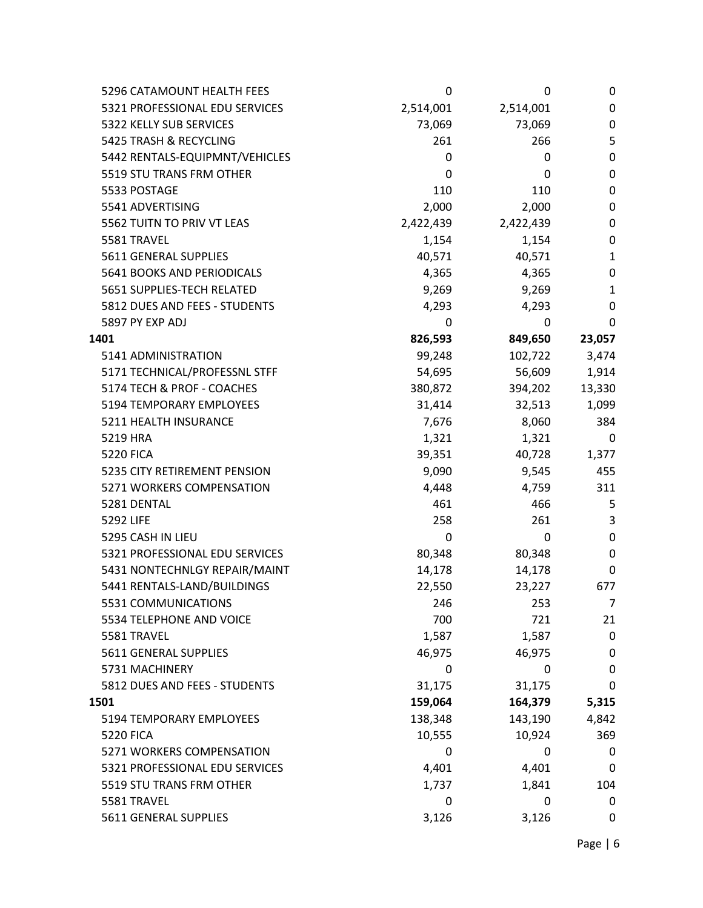| 5296 CATAMOUNT HEALTH FEES     | 0         | 0         | 0        |
|--------------------------------|-----------|-----------|----------|
| 5321 PROFESSIONAL EDU SERVICES | 2,514,001 | 2,514,001 | 0        |
| 5322 KELLY SUB SERVICES        | 73,069    | 73,069    | 0        |
| 5425 TRASH & RECYCLING         | 261       | 266       | 5        |
| 5442 RENTALS-EQUIPMNT/VEHICLES | 0         | 0         | 0        |
| 5519 STU TRANS FRM OTHER       | 0         | 0         | 0        |
| 5533 POSTAGE                   | 110       | 110       | 0        |
| 5541 ADVERTISING               | 2,000     | 2,000     | 0        |
| 5562 TUITN TO PRIV VT LEAS     | 2,422,439 | 2,422,439 | 0        |
| 5581 TRAVEL                    | 1,154     | 1,154     | 0        |
| 5611 GENERAL SUPPLIES          | 40,571    | 40,571    | 1        |
| 5641 BOOKS AND PERIODICALS     | 4,365     | 4,365     | 0        |
| 5651 SUPPLIES-TECH RELATED     | 9,269     | 9,269     | 1        |
| 5812 DUES AND FEES - STUDENTS  | 4,293     | 4,293     | 0        |
| 5897 PY EXP ADJ                | 0         | 0         | $\Omega$ |
| 1401                           | 826,593   | 849,650   | 23,057   |
| 5141 ADMINISTRATION            | 99,248    | 102,722   | 3,474    |
| 5171 TECHNICAL/PROFESSNL STFF  | 54,695    | 56,609    | 1,914    |
| 5174 TECH & PROF - COACHES     | 380,872   | 394,202   | 13,330   |
| 5194 TEMPORARY EMPLOYEES       | 31,414    | 32,513    | 1,099    |
| 5211 HEALTH INSURANCE          | 7,676     | 8,060     | 384      |
| 5219 HRA                       | 1,321     | 1,321     | 0        |
| <b>5220 FICA</b>               | 39,351    | 40,728    | 1,377    |
| 5235 CITY RETIREMENT PENSION   | 9,090     | 9,545     | 455      |
| 5271 WORKERS COMPENSATION      | 4,448     | 4,759     | 311      |
| 5281 DENTAL                    | 461       | 466       | 5        |
| 5292 LIFE                      | 258       | 261       | 3        |
| 5295 CASH IN LIEU              | 0         | 0         | 0        |
| 5321 PROFESSIONAL EDU SERVICES | 80,348    | 80,348    | 0        |
| 5431 NONTECHNLGY REPAIR/MAINT  | 14,178    | 14,178    | 0        |
| 5441 RENTALS-LAND/BUILDINGS    | 22,550    | 23,227    | 677      |
| 5531 COMMUNICATIONS            | 246       | 253       | 7        |
| 5534 TELEPHONE AND VOICE       | 700       | 721       | 21       |
| 5581 TRAVEL                    | 1,587     | 1,587     | 0        |
| 5611 GENERAL SUPPLIES          | 46,975    | 46,975    | 0        |
| 5731 MACHINERY                 | 0         | 0         | 0        |
| 5812 DUES AND FEES - STUDENTS  | 31,175    | 31,175    | 0        |
| 1501                           | 159,064   | 164,379   | 5,315    |
| 5194 TEMPORARY EMPLOYEES       | 138,348   | 143,190   | 4,842    |
| <b>5220 FICA</b>               | 10,555    | 10,924    | 369      |
| 5271 WORKERS COMPENSATION      | 0         | 0         | 0        |
| 5321 PROFESSIONAL EDU SERVICES | 4,401     | 4,401     | 0        |
| 5519 STU TRANS FRM OTHER       | 1,737     | 1,841     | 104      |
| 5581 TRAVEL                    | 0         | 0         | 0        |
| 5611 GENERAL SUPPLIES          | 3,126     | 3,126     | 0        |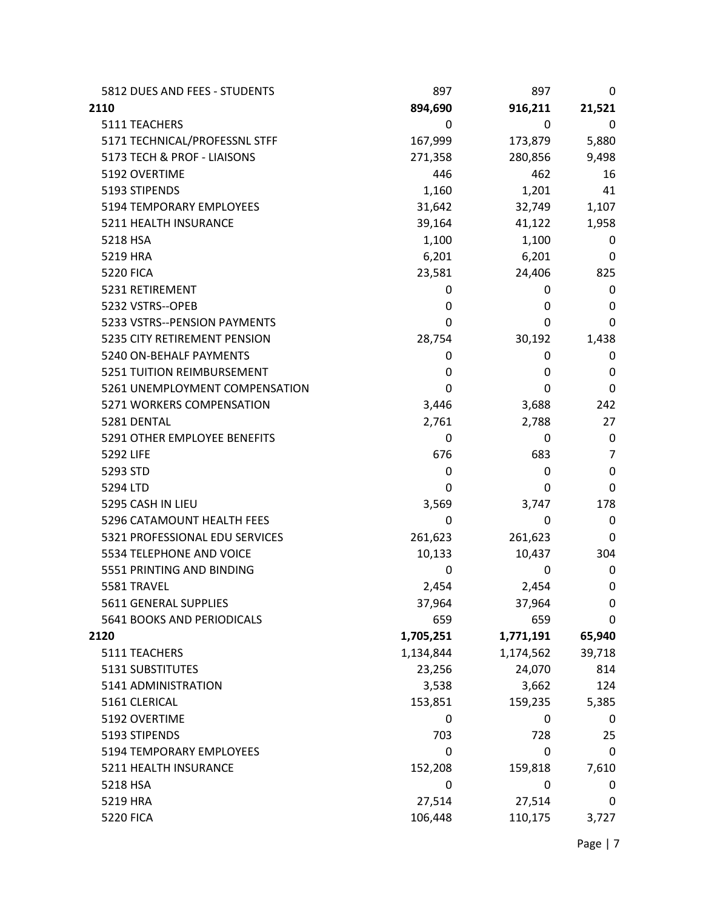| 5812 DUES AND FEES - STUDENTS  | 897       | 897       | 0           |
|--------------------------------|-----------|-----------|-------------|
| 2110                           | 894,690   | 916,211   | 21,521      |
| 5111 TEACHERS                  | 0         | 0         | 0           |
| 5171 TECHNICAL/PROFESSNL STFF  | 167,999   | 173,879   | 5,880       |
| 5173 TECH & PROF - LIAISONS    | 271,358   | 280,856   | 9,498       |
| 5192 OVERTIME                  | 446       | 462       | 16          |
| 5193 STIPENDS                  | 1,160     | 1,201     | 41          |
| 5194 TEMPORARY EMPLOYEES       | 31,642    | 32,749    | 1,107       |
| 5211 HEALTH INSURANCE          | 39,164    | 41,122    | 1,958       |
| 5218 HSA                       | 1,100     | 1,100     | 0           |
| 5219 HRA                       | 6,201     | 6,201     | 0           |
| <b>5220 FICA</b>               | 23,581    | 24,406    | 825         |
| 5231 RETIREMENT                | 0         | 0         | 0           |
| 5232 VSTRS--OPEB               | 0         | 0         | 0           |
| 5233 VSTRS--PENSION PAYMENTS   | 0         | 0         | 0           |
| 5235 CITY RETIREMENT PENSION   | 28,754    | 30,192    | 1,438       |
| 5240 ON-BEHALF PAYMENTS        | 0         | 0         | 0           |
| 5251 TUITION REIMBURSEMENT     | 0         | 0         | 0           |
| 5261 UNEMPLOYMENT COMPENSATION | 0         | 0         | 0           |
| 5271 WORKERS COMPENSATION      | 3,446     | 3,688     | 242         |
| 5281 DENTAL                    | 2,761     | 2,788     | 27          |
| 5291 OTHER EMPLOYEE BENEFITS   | 0         | 0         | 0           |
| 5292 LIFE                      | 676       | 683       | 7           |
| 5293 STD                       | 0         | 0         | 0           |
| 5294 LTD                       | 0         | 0         | 0           |
| 5295 CASH IN LIEU              | 3,569     | 3,747     | 178         |
| 5296 CATAMOUNT HEALTH FEES     | 0         | 0         | 0           |
| 5321 PROFESSIONAL EDU SERVICES | 261,623   | 261,623   | 0           |
| 5534 TELEPHONE AND VOICE       | 10,133    | 10,437    | 304         |
| 5551 PRINTING AND BINDING      | 0         | 0         | 0           |
| 5581 TRAVEL                    | 2,454     | 2,454     | 0           |
| 5611 GENERAL SUPPLIES          | 37,964    | 37,964    | $\pmb{0}$   |
| 5641 BOOKS AND PERIODICALS     | 659       | 659       | 0           |
| 2120                           | 1,705,251 | 1,771,191 | 65,940      |
| 5111 TEACHERS                  | 1,134,844 | 1,174,562 | 39,718      |
| 5131 SUBSTITUTES               | 23,256    | 24,070    | 814         |
| 5141 ADMINISTRATION            | 3,538     | 3,662     | 124         |
| 5161 CLERICAL                  | 153,851   | 159,235   | 5,385       |
| 5192 OVERTIME                  | 0         | 0         | 0           |
| 5193 STIPENDS                  | 703       | 728       | 25          |
| 5194 TEMPORARY EMPLOYEES       | 0         | 0         | $\mathbf 0$ |
| 5211 HEALTH INSURANCE          | 152,208   | 159,818   | 7,610       |
| 5218 HSA                       | 0         | 0         | 0           |
| 5219 HRA                       | 27,514    | 27,514    | 0           |
| <b>5220 FICA</b>               | 106,448   | 110,175   | 3,727       |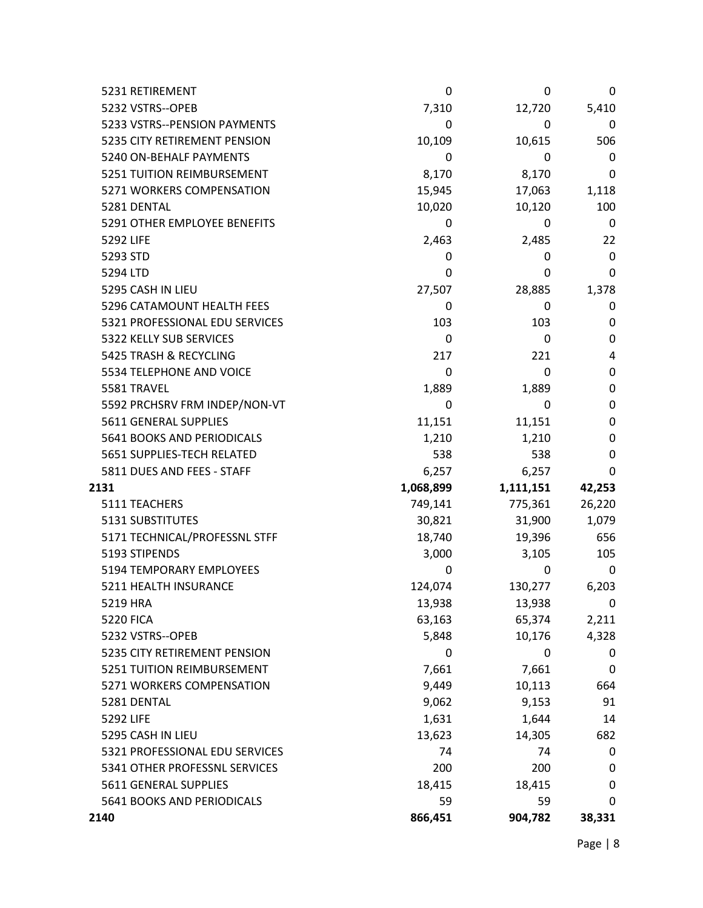| 5231 RETIREMENT                | 0         | 0         | 0           |
|--------------------------------|-----------|-----------|-------------|
| 5232 VSTRS--OPEB               | 7,310     | 12,720    | 5,410       |
| 5233 VSTRS--PENSION PAYMENTS   | 0         | 0         | 0           |
| 5235 CITY RETIREMENT PENSION   | 10,109    | 10,615    | 506         |
| 5240 ON-BEHALF PAYMENTS        | 0         | 0         | 0           |
| 5251 TUITION REIMBURSEMENT     | 8,170     | 8,170     | 0           |
| 5271 WORKERS COMPENSATION      | 15,945    | 17,063    | 1,118       |
| 5281 DENTAL                    | 10,020    | 10,120    | 100         |
| 5291 OTHER EMPLOYEE BENEFITS   | 0         | 0         | 0           |
| 5292 LIFE                      | 2,463     | 2,485     | 22          |
| 5293 STD                       | 0         | 0         | 0           |
| 5294 LTD                       | 0         | 0         | 0           |
| 5295 CASH IN LIEU              | 27,507    | 28,885    | 1,378       |
| 5296 CATAMOUNT HEALTH FEES     | 0         | 0         | 0           |
| 5321 PROFESSIONAL EDU SERVICES | 103       | 103       | 0           |
| 5322 KELLY SUB SERVICES        | 0         | 0         | 0           |
| 5425 TRASH & RECYCLING         | 217       | 221       | 4           |
| 5534 TELEPHONE AND VOICE       | 0         | 0         | $\mathbf 0$ |
| 5581 TRAVEL                    | 1,889     | 1,889     | 0           |
| 5592 PRCHSRV FRM INDEP/NON-VT  | 0         | 0         | 0           |
| 5611 GENERAL SUPPLIES          | 11,151    | 11,151    | 0           |
| 5641 BOOKS AND PERIODICALS     | 1,210     | 1,210     | 0           |
| 5651 SUPPLIES-TECH RELATED     | 538       | 538       | 0           |
| 5811 DUES AND FEES - STAFF     | 6,257     | 6,257     | 0           |
| 2131                           | 1,068,899 | 1,111,151 | 42,253      |
| 5111 TEACHERS                  | 749,141   | 775,361   | 26,220      |
| 5131 SUBSTITUTES               | 30,821    | 31,900    | 1,079       |
| 5171 TECHNICAL/PROFESSNL STFF  | 18,740    | 19,396    | 656         |
| 5193 STIPENDS                  | 3,000     | 3,105     | 105         |
| 5194 TEMPORARY EMPLOYEES       | 0         | 0         | 0           |
| 5211 HEALTH INSURANCE          | 124,074   | 130,277   | 6,203       |
| 5219 HRA                       | 13,938    | 13,938    | 0           |
| <b>5220 FICA</b>               | 63,163    | 65,374    | 2,211       |
| 5232 VSTRS--OPEB               | 5,848     | 10,176    | 4,328       |
| 5235 CITY RETIREMENT PENSION   | 0         | 0         | 0           |
| 5251 TUITION REIMBURSEMENT     | 7,661     | 7,661     | 0           |
| 5271 WORKERS COMPENSATION      | 9,449     | 10,113    | 664         |
| 5281 DENTAL                    | 9,062     | 9,153     | 91          |
| 5292 LIFE                      | 1,631     | 1,644     | 14          |
| 5295 CASH IN LIEU              | 13,623    | 14,305    | 682         |
| 5321 PROFESSIONAL EDU SERVICES | 74        | 74        | 0           |
| 5341 OTHER PROFESSNL SERVICES  | 200       | 200       | 0           |
| 5611 GENERAL SUPPLIES          | 18,415    | 18,415    | 0           |
| 5641 BOOKS AND PERIODICALS     | 59        | 59        | 0           |
| 2140                           | 866,451   | 904,782   | 38,331      |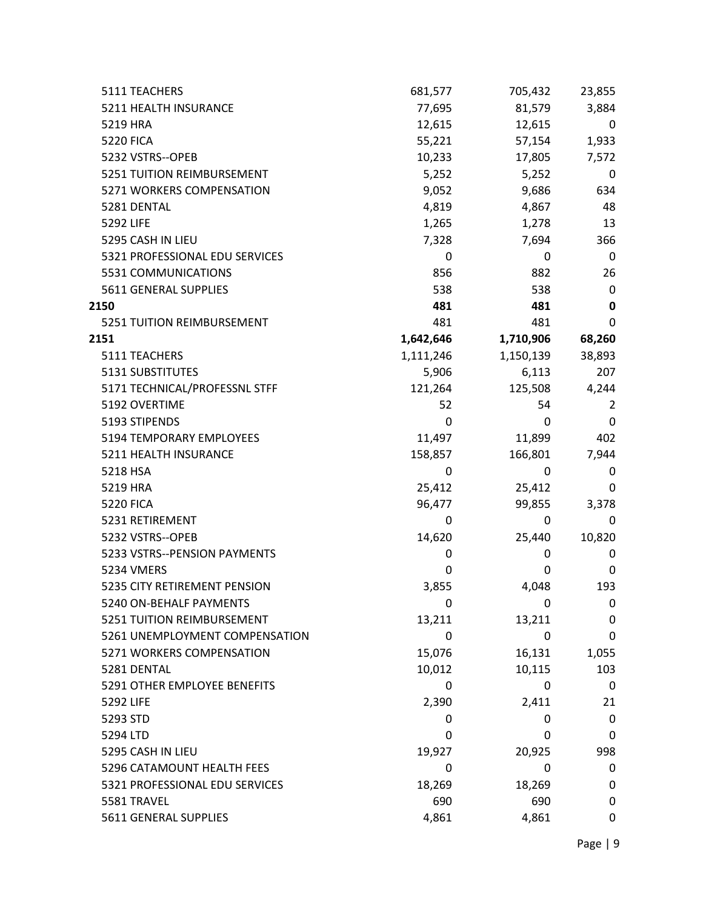| 5111 TEACHERS                  | 681,577   | 705,432   | 23,855       |
|--------------------------------|-----------|-----------|--------------|
| 5211 HEALTH INSURANCE          | 77,695    | 81,579    | 3,884        |
| 5219 HRA                       | 12,615    | 12,615    | 0            |
| <b>5220 FICA</b>               | 55,221    | 57,154    | 1,933        |
| 5232 VSTRS--OPEB               | 10,233    | 17,805    | 7,572        |
| 5251 TUITION REIMBURSEMENT     | 5,252     | 5,252     | 0            |
| 5271 WORKERS COMPENSATION      | 9,052     | 9,686     | 634          |
| 5281 DENTAL                    | 4,819     | 4,867     | 48           |
| 5292 LIFE                      | 1,265     | 1,278     | 13           |
| 5295 CASH IN LIEU              | 7,328     | 7,694     | 366          |
| 5321 PROFESSIONAL EDU SERVICES | 0         | 0         | 0            |
| 5531 COMMUNICATIONS            | 856       | 882       | 26           |
| 5611 GENERAL SUPPLIES          | 538       | 538       | $\mathbf 0$  |
| 2150                           | 481       | 481       | $\mathbf 0$  |
| 5251 TUITION REIMBURSEMENT     | 481       | 481       | $\mathbf 0$  |
| 2151                           | 1,642,646 | 1,710,906 | 68,260       |
| 5111 TEACHERS                  | 1,111,246 | 1,150,139 | 38,893       |
| 5131 SUBSTITUTES               | 5,906     | 6,113     | 207          |
| 5171 TECHNICAL/PROFESSNL STFF  | 121,264   | 125,508   | 4,244        |
| 5192 OVERTIME                  | 52        | 54        | 2            |
| 5193 STIPENDS                  | 0         | 0         | $\mathbf{0}$ |
| 5194 TEMPORARY EMPLOYEES       | 11,497    | 11,899    | 402          |
| 5211 HEALTH INSURANCE          | 158,857   | 166,801   | 7,944        |
| 5218 HSA                       | 0         | 0         | 0            |
| 5219 HRA                       | 25,412    | 25,412    | 0            |
| <b>5220 FICA</b>               | 96,477    | 99,855    | 3,378        |
| 5231 RETIREMENT                | 0         | 0         | 0            |
| 5232 VSTRS--OPEB               | 14,620    | 25,440    | 10,820       |
| 5233 VSTRS--PENSION PAYMENTS   | 0         | 0         | 0            |
| 5234 VMERS                     | 0         | 0         | 0            |
| 5235 CITY RETIREMENT PENSION   | 3,855     | 4,048     | 193          |
| 5240 ON-BEHALF PAYMENTS        | 0         | 0         | 0            |
| 5251 TUITION REIMBURSEMENT     | 13,211    | 13,211    | 0            |
| 5261 UNEMPLOYMENT COMPENSATION | 0         | 0         | 0            |
| 5271 WORKERS COMPENSATION      | 15,076    | 16,131    | 1,055        |
| 5281 DENTAL                    | 10,012    | 10,115    | 103          |
| 5291 OTHER EMPLOYEE BENEFITS   | 0         | 0         | 0            |
| 5292 LIFE                      | 2,390     | 2,411     | 21           |
| 5293 STD                       | 0         | 0         | 0            |
| 5294 LTD                       | 0         | 0         | 0            |
| 5295 CASH IN LIEU              | 19,927    | 20,925    | 998          |
| 5296 CATAMOUNT HEALTH FEES     | 0         | 0         | 0            |
| 5321 PROFESSIONAL EDU SERVICES | 18,269    | 18,269    | 0            |
| 5581 TRAVEL                    | 690       | 690       | 0            |
| 5611 GENERAL SUPPLIES          | 4,861     | 4,861     | 0            |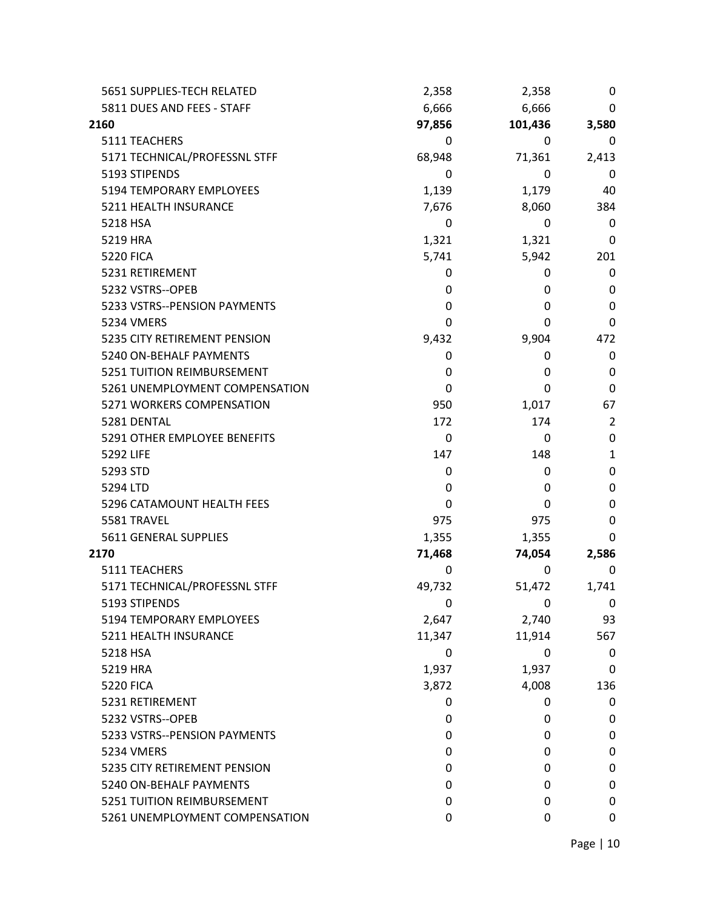| 5651 SUPPLIES-TECH RELATED     | 2,358  | 2,358   | 0            |
|--------------------------------|--------|---------|--------------|
| 5811 DUES AND FEES - STAFF     | 6,666  | 6,666   | 0            |
| 2160                           | 97,856 | 101,436 | 3,580        |
| 5111 TEACHERS                  | 0      | 0       | 0            |
| 5171 TECHNICAL/PROFESSNL STFF  | 68,948 | 71,361  | 2,413        |
| 5193 STIPENDS                  | 0      | 0       | 0            |
| 5194 TEMPORARY EMPLOYEES       | 1,139  | 1,179   | 40           |
| 5211 HEALTH INSURANCE          | 7,676  | 8,060   | 384          |
| 5218 HSA                       | 0      | 0       | 0            |
| 5219 HRA                       | 1,321  | 1,321   | 0            |
| <b>5220 FICA</b>               | 5,741  | 5,942   | 201          |
| 5231 RETIREMENT                | 0      | 0       | 0            |
| 5232 VSTRS--OPEB               | 0      | 0       | 0            |
| 5233 VSTRS--PENSION PAYMENTS   | 0      | 0       | 0            |
| 5234 VMERS                     | 0      | 0       | $\mathbf 0$  |
| 5235 CITY RETIREMENT PENSION   | 9,432  | 9,904   | 472          |
| 5240 ON-BEHALF PAYMENTS        | 0      | 0       | 0            |
| 5251 TUITION REIMBURSEMENT     | 0      | 0       | 0            |
| 5261 UNEMPLOYMENT COMPENSATION | 0      | 0       | $\Omega$     |
| 5271 WORKERS COMPENSATION      | 950    | 1,017   | 67           |
| 5281 DENTAL                    | 172    | 174     | 2            |
| 5291 OTHER EMPLOYEE BENEFITS   | 0      | 0       | $\Omega$     |
| 5292 LIFE                      | 147    | 148     | $\mathbf{1}$ |
| 5293 STD                       | 0      | 0       | 0            |
| 5294 LTD                       | 0      | 0       | 0            |
| 5296 CATAMOUNT HEALTH FEES     | 0      | 0       | 0            |
| 5581 TRAVEL                    | 975    | 975     | 0            |
| 5611 GENERAL SUPPLIES          | 1,355  | 1,355   | 0            |
| 2170                           | 71,468 | 74,054  | 2,586        |
| 5111 TEACHERS                  | 0      | 0       | 0            |
| 5171 TECHNICAL/PROFESSNL STFF  | 49,732 | 51,472  | 1,741        |
| 5193 STIPENDS                  | 0      | 0       | 0            |
| 5194 TEMPORARY EMPLOYEES       | 2,647  | 2,740   | 93           |
| 5211 HEALTH INSURANCE          | 11,347 | 11,914  | 567          |
| 5218 HSA                       | 0      | 0       | 0            |
| 5219 HRA                       | 1,937  | 1,937   | 0            |
| <b>5220 FICA</b>               | 3,872  | 4,008   | 136          |
| 5231 RETIREMENT                | 0      | 0       | 0            |
| 5232 VSTRS--OPEB               | 0      | 0       | 0            |
| 5233 VSTRS--PENSION PAYMENTS   | 0      | 0       | 0            |
| 5234 VMERS                     | 0      | 0       | 0            |
| 5235 CITY RETIREMENT PENSION   | 0      | 0       | 0            |
| 5240 ON-BEHALF PAYMENTS        | 0      | 0       | 0            |
| 5251 TUITION REIMBURSEMENT     | 0      | 0       | 0            |
| 5261 UNEMPLOYMENT COMPENSATION | 0      | 0       | 0            |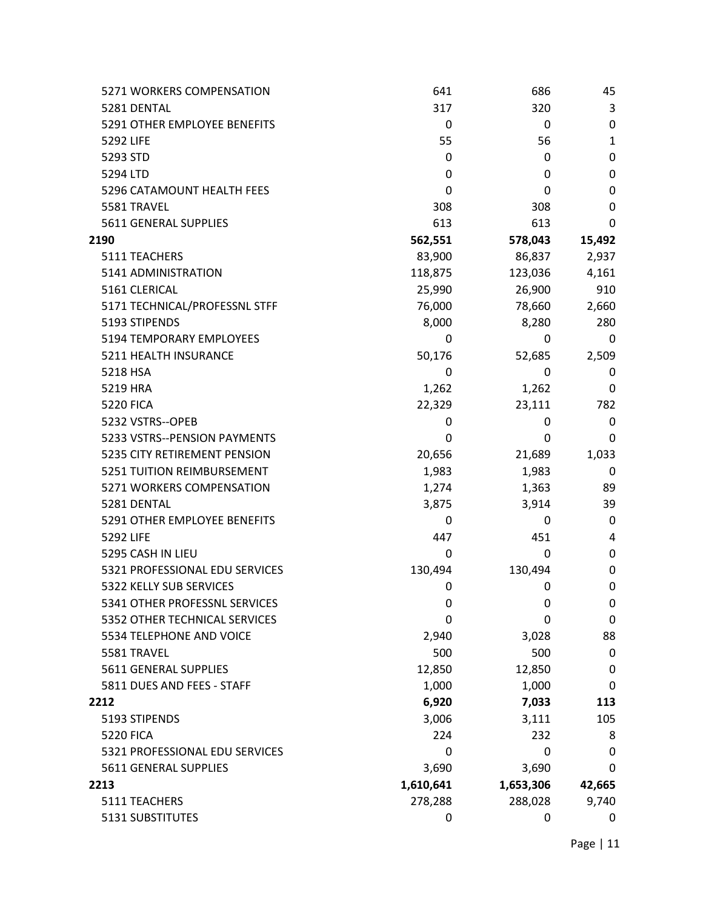| 5271 WORKERS COMPENSATION      | 641       | 686       | 45           |
|--------------------------------|-----------|-----------|--------------|
| 5281 DENTAL                    | 317       | 320       | 3            |
| 5291 OTHER EMPLOYEE BENEFITS   | 0         | 0         | $\mathbf 0$  |
| 5292 LIFE                      | 55        | 56        | $\mathbf{1}$ |
| 5293 STD                       | 0         | 0         | 0            |
| 5294 LTD                       | 0         | 0         | 0            |
| 5296 CATAMOUNT HEALTH FEES     | 0         | 0         | $\mathbf 0$  |
| 5581 TRAVEL                    | 308       | 308       | $\mathbf 0$  |
| 5611 GENERAL SUPPLIES          | 613       | 613       | 0            |
| 2190                           | 562,551   | 578,043   | 15,492       |
| 5111 TEACHERS                  | 83,900    | 86,837    | 2,937        |
| 5141 ADMINISTRATION            | 118,875   | 123,036   | 4,161        |
| 5161 CLERICAL                  | 25,990    | 26,900    | 910          |
| 5171 TECHNICAL/PROFESSNL STFF  | 76,000    | 78,660    | 2,660        |
| 5193 STIPENDS                  | 8,000     | 8,280     | 280          |
| 5194 TEMPORARY EMPLOYEES       | 0         | 0         | 0            |
| 5211 HEALTH INSURANCE          | 50,176    | 52,685    | 2,509        |
| 5218 HSA                       | 0         | 0         | 0            |
| 5219 HRA                       | 1,262     | 1,262     | 0            |
| <b>5220 FICA</b>               | 22,329    | 23,111    | 782          |
| 5232 VSTRS--OPEB               | 0         | 0         | 0            |
| 5233 VSTRS--PENSION PAYMENTS   | 0         | 0         | 0            |
| 5235 CITY RETIREMENT PENSION   | 20,656    | 21,689    | 1,033        |
| 5251 TUITION REIMBURSEMENT     | 1,983     | 1,983     | 0            |
| 5271 WORKERS COMPENSATION      | 1,274     | 1,363     | 89           |
| 5281 DENTAL                    | 3,875     | 3,914     | 39           |
| 5291 OTHER EMPLOYEE BENEFITS   | 0         | 0         | 0            |
| 5292 LIFE                      | 447       | 451       | 4            |
| 5295 CASH IN LIEU              | 0         | 0         | 0            |
| 5321 PROFESSIONAL EDU SERVICES | 130,494   | 130,494   | 0            |
| 5322 KELLY SUB SERVICES        | 0         | 0         | 0            |
| 5341 OTHER PROFESSNL SERVICES  | 0         | 0         | 0            |
| 5352 OTHER TECHNICAL SERVICES  | 0         | 0         | 0            |
| 5534 TELEPHONE AND VOICE       | 2,940     | 3,028     | 88           |
| 5581 TRAVEL                    | 500       | 500       | 0            |
| 5611 GENERAL SUPPLIES          | 12,850    | 12,850    | 0            |
| 5811 DUES AND FEES - STAFF     | 1,000     | 1,000     | 0            |
| 2212                           | 6,920     | 7,033     | 113          |
| 5193 STIPENDS                  | 3,006     | 3,111     | 105          |
| <b>5220 FICA</b>               | 224       | 232       | 8            |
| 5321 PROFESSIONAL EDU SERVICES | 0         | 0         | 0            |
| 5611 GENERAL SUPPLIES          | 3,690     | 3,690     | 0            |
| 2213                           | 1,610,641 | 1,653,306 | 42,665       |
| 5111 TEACHERS                  | 278,288   | 288,028   | 9,740        |
| 5131 SUBSTITUTES               | 0         | 0         | 0            |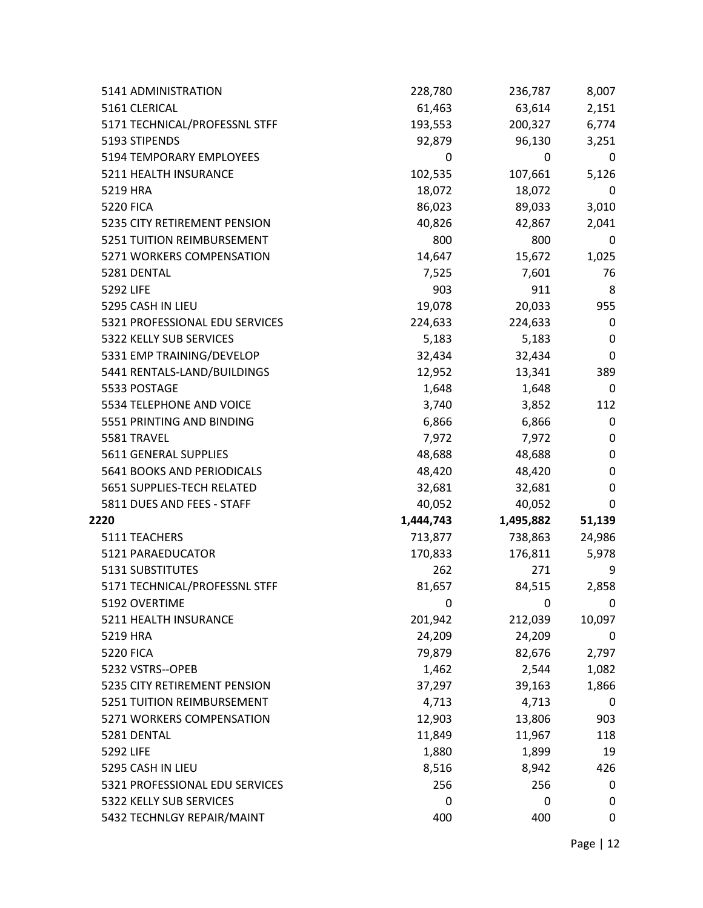| 5141 ADMINISTRATION            | 228,780   | 236,787   | 8,007     |
|--------------------------------|-----------|-----------|-----------|
| 5161 CLERICAL                  | 61,463    | 63,614    | 2,151     |
| 5171 TECHNICAL/PROFESSNL STFF  | 193,553   | 200,327   | 6,774     |
| 5193 STIPENDS                  | 92,879    | 96,130    | 3,251     |
| 5194 TEMPORARY EMPLOYEES       | 0         | 0         | 0         |
| 5211 HEALTH INSURANCE          | 102,535   | 107,661   | 5,126     |
| 5219 HRA                       | 18,072    | 18,072    | 0         |
| <b>5220 FICA</b>               | 86,023    | 89,033    | 3,010     |
| 5235 CITY RETIREMENT PENSION   | 40,826    | 42,867    | 2,041     |
| 5251 TUITION REIMBURSEMENT     | 800       | 800       | 0         |
| 5271 WORKERS COMPENSATION      | 14,647    | 15,672    | 1,025     |
| 5281 DENTAL                    | 7,525     | 7,601     | 76        |
| 5292 LIFE                      | 903       | 911       | 8         |
| 5295 CASH IN LIEU              | 19,078    | 20,033    | 955       |
| 5321 PROFESSIONAL EDU SERVICES | 224,633   | 224,633   | 0         |
| 5322 KELLY SUB SERVICES        | 5,183     | 5,183     | 0         |
| 5331 EMP TRAINING/DEVELOP      | 32,434    | 32,434    | $\pmb{0}$ |
| 5441 RENTALS-LAND/BUILDINGS    | 12,952    | 13,341    | 389       |
| 5533 POSTAGE                   | 1,648     | 1,648     | 0         |
| 5534 TELEPHONE AND VOICE       | 3,740     | 3,852     | 112       |
| 5551 PRINTING AND BINDING      | 6,866     | 6,866     | 0         |
| 5581 TRAVEL                    | 7,972     | 7,972     | 0         |
| 5611 GENERAL SUPPLIES          | 48,688    | 48,688    | 0         |
| 5641 BOOKS AND PERIODICALS     | 48,420    | 48,420    | 0         |
| 5651 SUPPLIES-TECH RELATED     | 32,681    | 32,681    | 0         |
| 5811 DUES AND FEES - STAFF     | 40,052    | 40,052    | 0         |
| 2220                           | 1,444,743 | 1,495,882 | 51,139    |
| 5111 TEACHERS                  | 713,877   | 738,863   | 24,986    |
| 5121 PARAEDUCATOR              | 170,833   | 176,811   | 5,978     |
| 5131 SUBSTITUTES               | 262       | 271       | 9         |
| 5171 TECHNICAL/PROFESSNL STFF  | 81,657    | 84,515    | 2,858     |
| 5192 OVERTIME                  | 0         | 0         | 0         |
| 5211 HEALTH INSURANCE          | 201,942   | 212,039   | 10,097    |
| 5219 HRA                       | 24,209    | 24,209    | 0         |
| <b>5220 FICA</b>               | 79,879    | 82,676    | 2,797     |
| 5232 VSTRS--OPEB               | 1,462     | 2,544     | 1,082     |
| 5235 CITY RETIREMENT PENSION   | 37,297    | 39,163    | 1,866     |
| 5251 TUITION REIMBURSEMENT     | 4,713     | 4,713     | 0         |
| 5271 WORKERS COMPENSATION      | 12,903    | 13,806    | 903       |
| 5281 DENTAL                    | 11,849    | 11,967    | 118       |
| 5292 LIFE                      | 1,880     | 1,899     | 19        |
| 5295 CASH IN LIEU              | 8,516     | 8,942     | 426       |
| 5321 PROFESSIONAL EDU SERVICES | 256       | 256       | 0         |
| 5322 KELLY SUB SERVICES        | 0         | 0         | 0         |
| 5432 TECHNLGY REPAIR/MAINT     | 400       | 400       | 0         |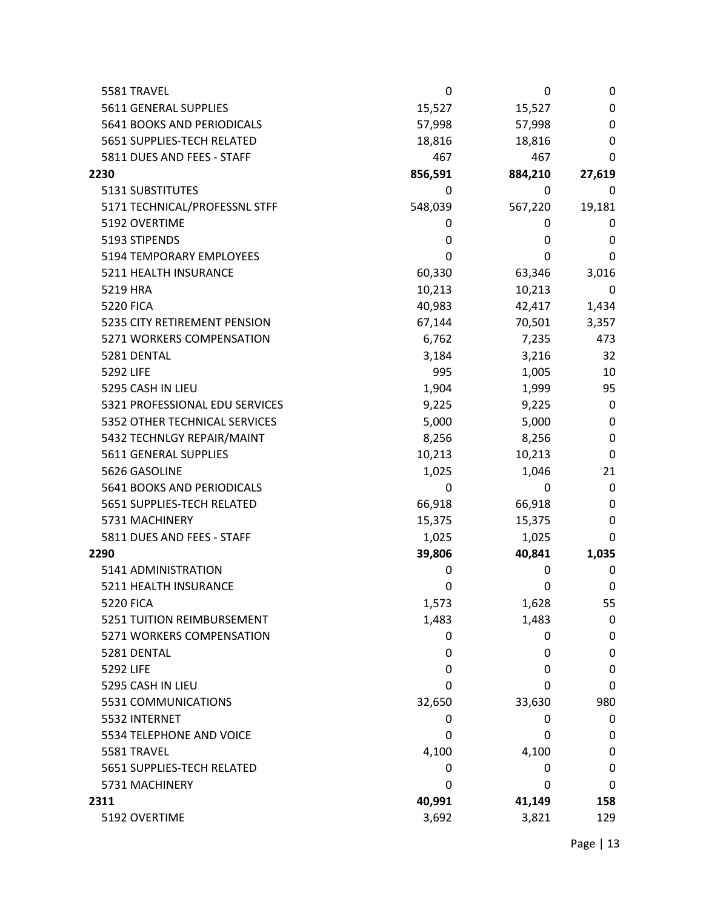| 5581 TRAVEL                    | 0       | 0       | 0      |
|--------------------------------|---------|---------|--------|
| 5611 GENERAL SUPPLIES          | 15,527  | 15,527  | 0      |
| 5641 BOOKS AND PERIODICALS     | 57,998  | 57,998  | 0      |
| 5651 SUPPLIES-TECH RELATED     | 18,816  | 18,816  | 0      |
| 5811 DUES AND FEES - STAFF     | 467     | 467     | 0      |
| 2230                           | 856,591 | 884,210 | 27,619 |
| 5131 SUBSTITUTES               | 0       | 0       | 0      |
| 5171 TECHNICAL/PROFESSNL STFF  | 548,039 | 567,220 | 19,181 |
| 5192 OVERTIME                  | 0       | 0       | 0      |
| 5193 STIPENDS                  | 0       | 0       | 0      |
| 5194 TEMPORARY EMPLOYEES       | 0       | 0       | 0      |
| 5211 HEALTH INSURANCE          | 60,330  | 63,346  | 3,016  |
| 5219 HRA                       | 10,213  | 10,213  | 0      |
| <b>5220 FICA</b>               | 40,983  | 42,417  | 1,434  |
| 5235 CITY RETIREMENT PENSION   | 67,144  | 70,501  | 3,357  |
| 5271 WORKERS COMPENSATION      | 6,762   | 7,235   | 473    |
| 5281 DENTAL                    | 3,184   | 3,216   | 32     |
| 5292 LIFE                      | 995     | 1,005   | 10     |
| 5295 CASH IN LIEU              | 1,904   | 1,999   | 95     |
| 5321 PROFESSIONAL EDU SERVICES | 9,225   | 9,225   | 0      |
| 5352 OTHER TECHNICAL SERVICES  | 5,000   | 5,000   | 0      |
| 5432 TECHNLGY REPAIR/MAINT     | 8,256   | 8,256   | 0      |
| 5611 GENERAL SUPPLIES          | 10,213  | 10,213  | 0      |
| 5626 GASOLINE                  | 1,025   | 1,046   | 21     |
| 5641 BOOKS AND PERIODICALS     | 0       | 0       | 0      |
| 5651 SUPPLIES-TECH RELATED     | 66,918  | 66,918  | 0      |
| 5731 MACHINERY                 | 15,375  | 15,375  | 0      |
| 5811 DUES AND FEES - STAFF     | 1,025   | 1,025   | 0      |
| 2290                           | 39,806  | 40,841  | 1,035  |
| 5141 ADMINISTRATION            | 0       | 0       | 0      |
| 5211 HEALTH INSURANCE          | 0       | 0       | 0      |
| <b>5220 FICA</b>               | 1,573   | 1,628   | 55     |
| 5251 TUITION REIMBURSEMENT     | 1,483   | 1,483   | 0      |
| 5271 WORKERS COMPENSATION      | 0       | 0       | 0      |
| 5281 DENTAL                    | 0       | 0       | 0      |
| 5292 LIFE                      | 0       | 0       | 0      |
| 5295 CASH IN LIEU              | 0       | 0       | 0      |
| 5531 COMMUNICATIONS            | 32,650  | 33,630  | 980    |
| 5532 INTERNET                  | 0       | 0       | 0      |
| 5534 TELEPHONE AND VOICE       | 0       | 0       | 0      |
| 5581 TRAVEL                    | 4,100   | 4,100   | 0      |
| 5651 SUPPLIES-TECH RELATED     | 0       | 0       | 0      |
| 5731 MACHINERY                 | 0       | 0       | 0      |
| 2311                           | 40,991  | 41,149  | 158    |
| 5192 OVERTIME                  | 3,692   | 3,821   | 129    |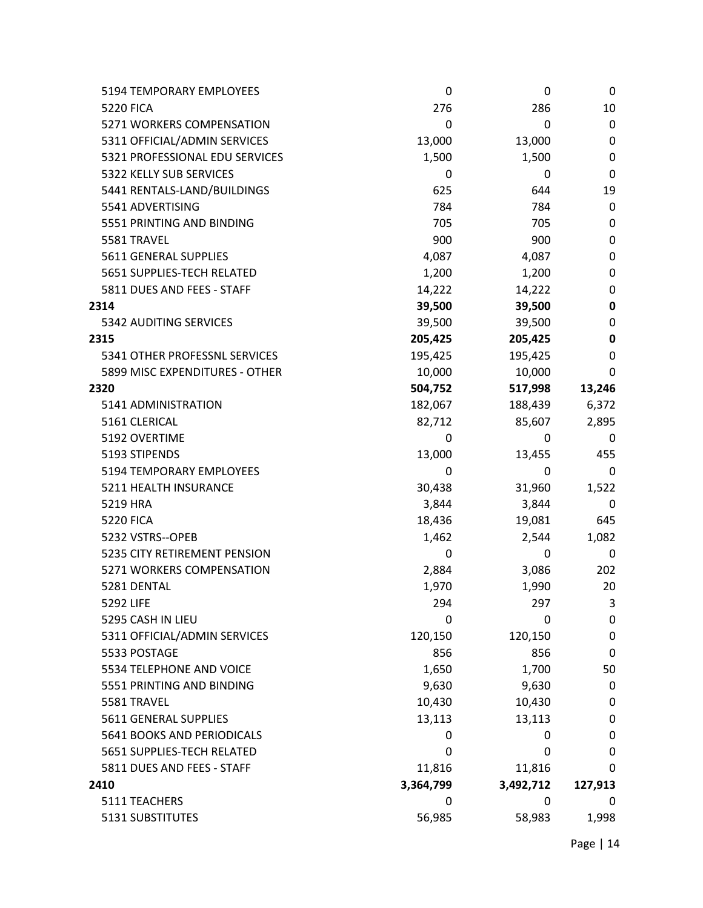| 5194 TEMPORARY EMPLOYEES       | 0         | 0         | 0       |
|--------------------------------|-----------|-----------|---------|
| <b>5220 FICA</b>               | 276       | 286       | 10      |
| 5271 WORKERS COMPENSATION      | 0         | 0         | 0       |
| 5311 OFFICIAL/ADMIN SERVICES   | 13,000    | 13,000    | 0       |
| 5321 PROFESSIONAL EDU SERVICES | 1,500     | 1,500     | 0       |
| 5322 KELLY SUB SERVICES        | 0         | 0         | 0       |
| 5441 RENTALS-LAND/BUILDINGS    | 625       | 644       | 19      |
| 5541 ADVERTISING               | 784       | 784       | 0       |
| 5551 PRINTING AND BINDING      | 705       | 705       | 0       |
| 5581 TRAVEL                    | 900       | 900       | 0       |
| 5611 GENERAL SUPPLIES          | 4,087     | 4,087     | 0       |
| 5651 SUPPLIES-TECH RELATED     | 1,200     | 1,200     | 0       |
| 5811 DUES AND FEES - STAFF     | 14,222    | 14,222    | 0       |
| 2314                           | 39,500    | 39,500    | 0       |
| 5342 AUDITING SERVICES         | 39,500    | 39,500    | 0       |
| 2315                           | 205,425   | 205,425   | 0       |
| 5341 OTHER PROFESSNL SERVICES  | 195,425   | 195,425   | 0       |
| 5899 MISC EXPENDITURES - OTHER | 10,000    | 10,000    | 0       |
| 2320                           | 504,752   | 517,998   | 13,246  |
| 5141 ADMINISTRATION            | 182,067   | 188,439   | 6,372   |
| 5161 CLERICAL                  | 82,712    | 85,607    | 2,895   |
| 5192 OVERTIME                  | 0         | 0         | 0       |
| 5193 STIPENDS                  | 13,000    | 13,455    | 455     |
| 5194 TEMPORARY EMPLOYEES       | 0         | 0         | 0       |
| 5211 HEALTH INSURANCE          | 30,438    | 31,960    | 1,522   |
| 5219 HRA                       | 3,844     | 3,844     | 0       |
| <b>5220 FICA</b>               | 18,436    | 19,081    | 645     |
| 5232 VSTRS--OPEB               | 1,462     | 2,544     | 1,082   |
| 5235 CITY RETIREMENT PENSION   | 0         | 0         | 0       |
| 5271 WORKERS COMPENSATION      | 2,884     | 3,086     | 202     |
| 5281 DENTAL                    | 1,970     | 1,990     | 20      |
| 5292 LIFE                      | 294       | 297       | 3       |
| 5295 CASH IN LIEU              | 0         | 0         | 0       |
| 5311 OFFICIAL/ADMIN SERVICES   | 120,150   | 120,150   | 0       |
| 5533 POSTAGE                   | 856       | 856       | 0       |
| 5534 TELEPHONE AND VOICE       | 1,650     | 1,700     | 50      |
| 5551 PRINTING AND BINDING      | 9,630     | 9,630     | 0       |
| 5581 TRAVEL                    | 10,430    | 10,430    | 0       |
| 5611 GENERAL SUPPLIES          | 13,113    | 13,113    | 0       |
| 5641 BOOKS AND PERIODICALS     | 0         | 0         | 0       |
| 5651 SUPPLIES-TECH RELATED     | 0         | 0         | 0       |
| 5811 DUES AND FEES - STAFF     | 11,816    | 11,816    | 0       |
| 2410                           | 3,364,799 | 3,492,712 | 127,913 |
| 5111 TEACHERS                  | 0         | 0         | 0       |
| 5131 SUBSTITUTES               | 56,985    | 58,983    | 1,998   |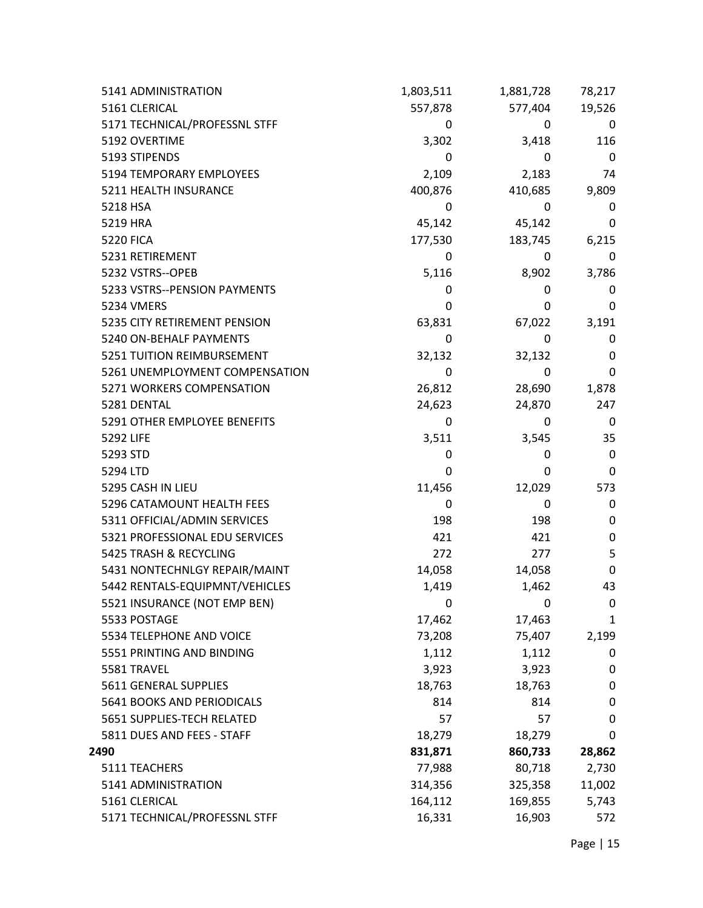| 5141 ADMINISTRATION            | 1,803,511 | 1,881,728 | 78,217      |
|--------------------------------|-----------|-----------|-------------|
| 5161 CLERICAL                  | 557,878   | 577,404   | 19,526      |
| 5171 TECHNICAL/PROFESSNL STFF  | 0         | 0         | 0           |
| 5192 OVERTIME                  | 3,302     | 3,418     | 116         |
| 5193 STIPENDS                  | 0         | 0         | 0           |
| 5194 TEMPORARY EMPLOYEES       | 2,109     | 2,183     | 74          |
| 5211 HEALTH INSURANCE          | 400,876   | 410,685   | 9,809       |
| 5218 HSA                       | 0         | 0         | 0           |
| 5219 HRA                       | 45,142    | 45,142    | 0           |
| <b>5220 FICA</b>               | 177,530   | 183,745   | 6,215       |
| 5231 RETIREMENT                | 0         | 0         | 0           |
| 5232 VSTRS--OPEB               | 5,116     | 8,902     | 3,786       |
| 5233 VSTRS--PENSION PAYMENTS   | 0         | 0         | 0           |
| 5234 VMERS                     | 0         | 0         | 0           |
| 5235 CITY RETIREMENT PENSION   | 63,831    | 67,022    | 3,191       |
| 5240 ON-BEHALF PAYMENTS        | 0         | 0         | 0           |
| 5251 TUITION REIMBURSEMENT     | 32,132    | 32,132    | 0           |
| 5261 UNEMPLOYMENT COMPENSATION | 0         | 0         | $\mathbf 0$ |
| 5271 WORKERS COMPENSATION      | 26,812    | 28,690    | 1,878       |
| 5281 DENTAL                    | 24,623    | 24,870    | 247         |
| 5291 OTHER EMPLOYEE BENEFITS   | 0         | 0         | 0           |
| 5292 LIFE                      | 3,511     | 3,545     | 35          |
| 5293 STD                       | 0         | 0         | 0           |
| 5294 LTD                       | 0         | 0         | $\mathbf 0$ |
| 5295 CASH IN LIEU              | 11,456    | 12,029    | 573         |
| 5296 CATAMOUNT HEALTH FEES     | 0         | 0         | 0           |
| 5311 OFFICIAL/ADMIN SERVICES   | 198       | 198       | $\pmb{0}$   |
| 5321 PROFESSIONAL EDU SERVICES | 421       | 421       | 0           |
| 5425 TRASH & RECYCLING         | 272       | 277       | 5           |
| 5431 NONTECHNLGY REPAIR/MAINT  | 14,058    | 14,058    | $\mathbf 0$ |
| 5442 RENTALS-EQUIPMNT/VEHICLES | 1,419     | 1,462     | 43          |
| 5521 INSURANCE (NOT EMP BEN)   | 0         | 0         | 0           |
| 5533 POSTAGE                   | 17,462    | 17,463    | 1           |
| 5534 TELEPHONE AND VOICE       | 73,208    | 75,407    | 2,199       |
| 5551 PRINTING AND BINDING      | 1,112     | 1,112     | 0           |
| 5581 TRAVEL                    | 3,923     | 3,923     | 0           |
| 5611 GENERAL SUPPLIES          | 18,763    | 18,763    | 0           |
| 5641 BOOKS AND PERIODICALS     | 814       | 814       | 0           |
| 5651 SUPPLIES-TECH RELATED     | 57        | 57        | 0           |
| 5811 DUES AND FEES - STAFF     | 18,279    | 18,279    | 0           |
| 2490                           | 831,871   | 860,733   | 28,862      |
| 5111 TEACHERS                  | 77,988    | 80,718    | 2,730       |
| 5141 ADMINISTRATION            | 314,356   | 325,358   | 11,002      |
| 5161 CLERICAL                  | 164,112   | 169,855   | 5,743       |
| 5171 TECHNICAL/PROFESSNL STFF  | 16,331    | 16,903    | 572         |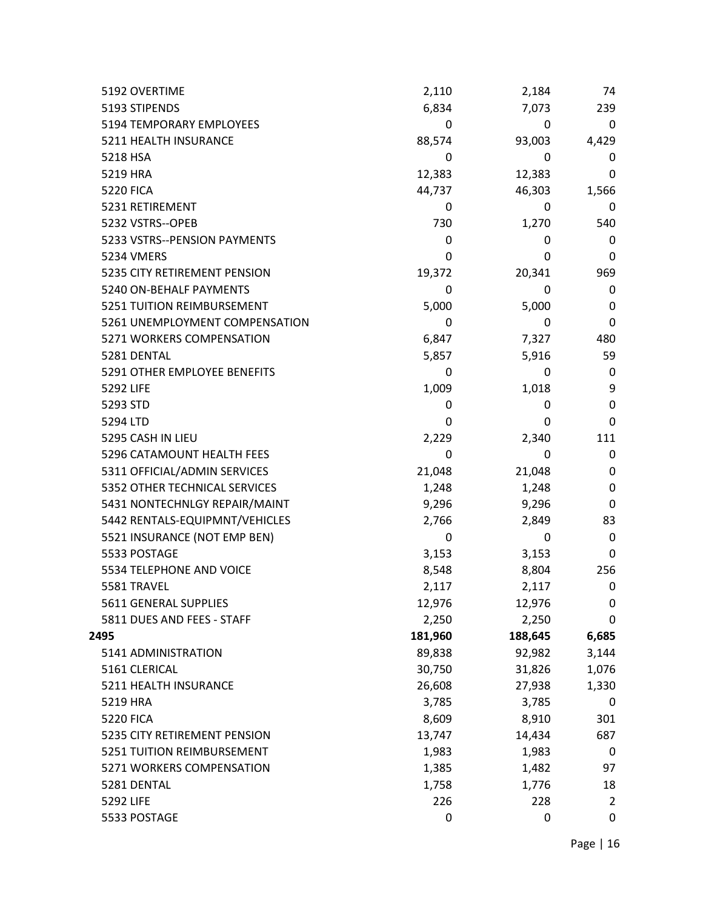| 5192 OVERTIME                  | 2,110   | 2,184   | 74       |
|--------------------------------|---------|---------|----------|
| 5193 STIPENDS                  | 6,834   | 7,073   | 239      |
| 5194 TEMPORARY EMPLOYEES       | 0       | 0       | 0        |
| 5211 HEALTH INSURANCE          | 88,574  | 93,003  | 4,429    |
| 5218 HSA                       | 0       | 0       | 0        |
| 5219 HRA                       | 12,383  | 12,383  | 0        |
| <b>5220 FICA</b>               | 44,737  | 46,303  | 1,566    |
| 5231 RETIREMENT                | 0       | 0       | 0        |
| 5232 VSTRS--OPEB               | 730     | 1,270   | 540      |
| 5233 VSTRS--PENSION PAYMENTS   | 0       | 0       | 0        |
| <b>5234 VMERS</b>              | 0       | 0       | 0        |
| 5235 CITY RETIREMENT PENSION   | 19,372  | 20,341  | 969      |
| 5240 ON-BEHALF PAYMENTS        | 0       | 0       | 0        |
| 5251 TUITION REIMBURSEMENT     | 5,000   | 5,000   | 0        |
| 5261 UNEMPLOYMENT COMPENSATION | 0       | 0       | 0        |
| 5271 WORKERS COMPENSATION      | 6,847   | 7,327   | 480      |
| 5281 DENTAL                    | 5,857   | 5,916   | 59       |
| 5291 OTHER EMPLOYEE BENEFITS   | 0       | 0       | 0        |
| 5292 LIFE                      | 1,009   | 1,018   | 9        |
| 5293 STD                       | 0       | 0       | 0        |
| 5294 LTD                       | 0       | 0       | 0        |
| 5295 CASH IN LIEU              | 2,229   | 2,340   | 111      |
| 5296 CATAMOUNT HEALTH FEES     | 0       | 0       | 0        |
| 5311 OFFICIAL/ADMIN SERVICES   | 21,048  | 21,048  | 0        |
| 5352 OTHER TECHNICAL SERVICES  | 1,248   | 1,248   | 0        |
| 5431 NONTECHNLGY REPAIR/MAINT  | 9,296   | 9,296   | 0        |
| 5442 RENTALS-EQUIPMNT/VEHICLES | 2,766   | 2,849   | 83       |
| 5521 INSURANCE (NOT EMP BEN)   | 0       | 0       | $\Omega$ |
| 5533 POSTAGE                   | 3,153   | 3,153   | 0        |
| 5534 TELEPHONE AND VOICE       | 8,548   | 8,804   | 256      |
| 5581 TRAVEL                    | 2,117   | 2,117   | 0        |
| 5611 GENERAL SUPPLIES          | 12,976  | 12,976  | 0        |
| 5811 DUES AND FEES - STAFF     | 2,250   | 2,250   | 0        |
| 2495                           | 181,960 | 188,645 | 6,685    |
| 5141 ADMINISTRATION            | 89,838  | 92,982  | 3,144    |
| 5161 CLERICAL                  | 30,750  | 31,826  | 1,076    |
| 5211 HEALTH INSURANCE          | 26,608  | 27,938  | 1,330    |
| 5219 HRA                       | 3,785   | 3,785   | 0        |
| <b>5220 FICA</b>               | 8,609   | 8,910   | 301      |
| 5235 CITY RETIREMENT PENSION   | 13,747  | 14,434  | 687      |
| 5251 TUITION REIMBURSEMENT     | 1,983   | 1,983   | 0        |
| 5271 WORKERS COMPENSATION      | 1,385   | 1,482   | 97       |
| 5281 DENTAL                    | 1,758   | 1,776   | 18       |
| 5292 LIFE                      | 226     | 228     | 2        |
| 5533 POSTAGE                   | 0       | 0       | 0        |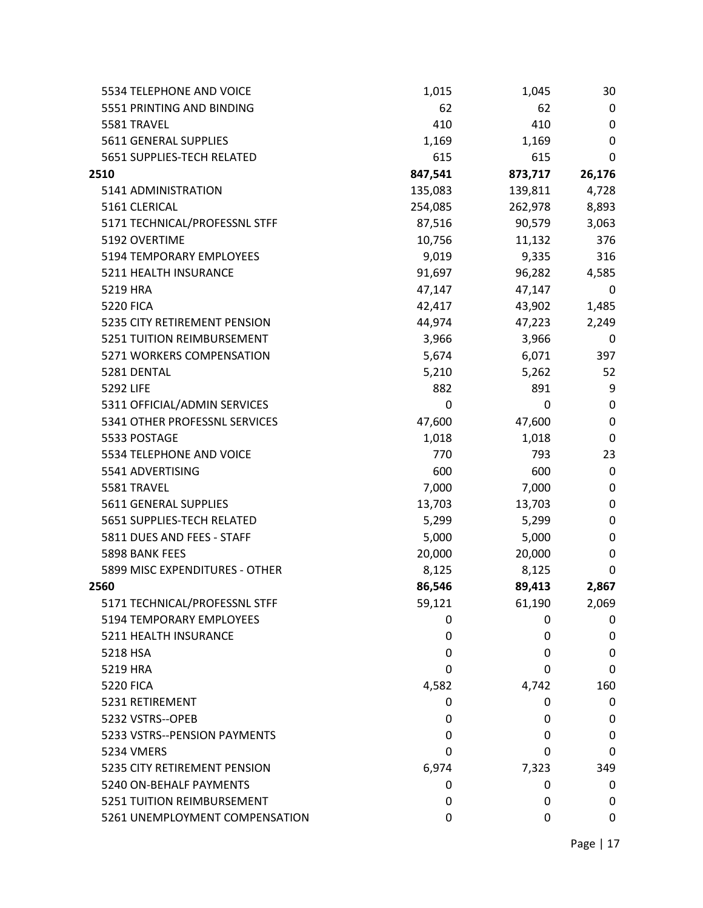| 5534 TELEPHONE AND VOICE        | 1,015   | 1,045   | 30           |
|---------------------------------|---------|---------|--------------|
| 5551 PRINTING AND BINDING       | 62      | 62      | 0            |
| 5581 TRAVEL                     | 410     | 410     | $\mathbf 0$  |
| 5611 GENERAL SUPPLIES           | 1,169   | 1,169   | $\mathbf 0$  |
| 5651 SUPPLIES-TECH RELATED      | 615     | 615     | 0            |
| 2510                            | 847,541 | 873,717 | 26,176       |
| 5141 ADMINISTRATION             | 135,083 | 139,811 | 4,728        |
| 5161 CLERICAL                   | 254,085 | 262,978 | 8,893        |
| 5171 TECHNICAL/PROFESSNL STFF   | 87,516  | 90,579  | 3,063        |
| 5192 OVERTIME                   | 10,756  | 11,132  | 376          |
| 5194 TEMPORARY EMPLOYEES        | 9,019   | 9,335   | 316          |
| 5211 HEALTH INSURANCE           | 91,697  | 96,282  | 4,585        |
| 5219 HRA                        | 47,147  | 47,147  | 0            |
| <b>5220 FICA</b>                | 42,417  | 43,902  | 1,485        |
| 5235 CITY RETIREMENT PENSION    | 44,974  | 47,223  | 2,249        |
| 5251 TUITION REIMBURSEMENT      | 3,966   | 3,966   | 0            |
| 5271 WORKERS COMPENSATION       | 5,674   | 6,071   | 397          |
| 5281 DENTAL                     | 5,210   | 5,262   | 52           |
| 5292 LIFE                       | 882     | 891     | 9            |
| 5311 OFFICIAL/ADMIN SERVICES    | 0       | 0       | 0            |
| 5341 OTHER PROFESSNL SERVICES   | 47,600  | 47,600  | 0            |
| 5533 POSTAGE                    | 1,018   | 1,018   | 0            |
| 5534 TELEPHONE AND VOICE        | 770     | 793     | 23           |
| 5541 ADVERTISING                | 600     | 600     | $\mathbf 0$  |
| 5581 TRAVEL                     | 7,000   | 7,000   | 0            |
| 5611 GENERAL SUPPLIES           | 13,703  | 13,703  | 0            |
| 5651 SUPPLIES-TECH RELATED      | 5,299   | 5,299   | $\mathbf 0$  |
| 5811 DUES AND FEES - STAFF      | 5,000   | 5,000   | $\mathbf 0$  |
| 5898 BANK FEES                  | 20,000  | 20,000  | 0            |
| 5899 MISC EXPENDITURES - OTHER  | 8,125   | 8,125   | 0            |
| 2560                            | 86,546  | 89,413  | 2,867        |
| 5171 TECHNICAL/PROFESSNL STFF   | 59,121  | 61,190  | 2,069        |
| <b>5194 TEMPORARY EMPLOYEES</b> | 0       | 0       | 0            |
| 5211 HEALTH INSURANCE           | 0       | 0       | 0            |
| 5218 HSA                        | 0       | 0       | 0            |
| 5219 HRA                        | 0       | 0       | $\mathbf{0}$ |
| <b>5220 FICA</b>                | 4,582   | 4,742   | 160          |
| 5231 RETIREMENT                 | 0       | 0       | 0            |
| 5232 VSTRS--OPEB                | 0       | 0       | 0            |
| 5233 VSTRS--PENSION PAYMENTS    | 0       | 0       | 0            |
| 5234 VMERS                      | 0       | 0       | 0            |
| 5235 CITY RETIREMENT PENSION    | 6,974   | 7,323   | 349          |
| 5240 ON-BEHALF PAYMENTS         | 0       | 0       | 0            |
| 5251 TUITION REIMBURSEMENT      | 0       | 0       | 0            |
| 5261 UNEMPLOYMENT COMPENSATION  | 0       | 0       | 0            |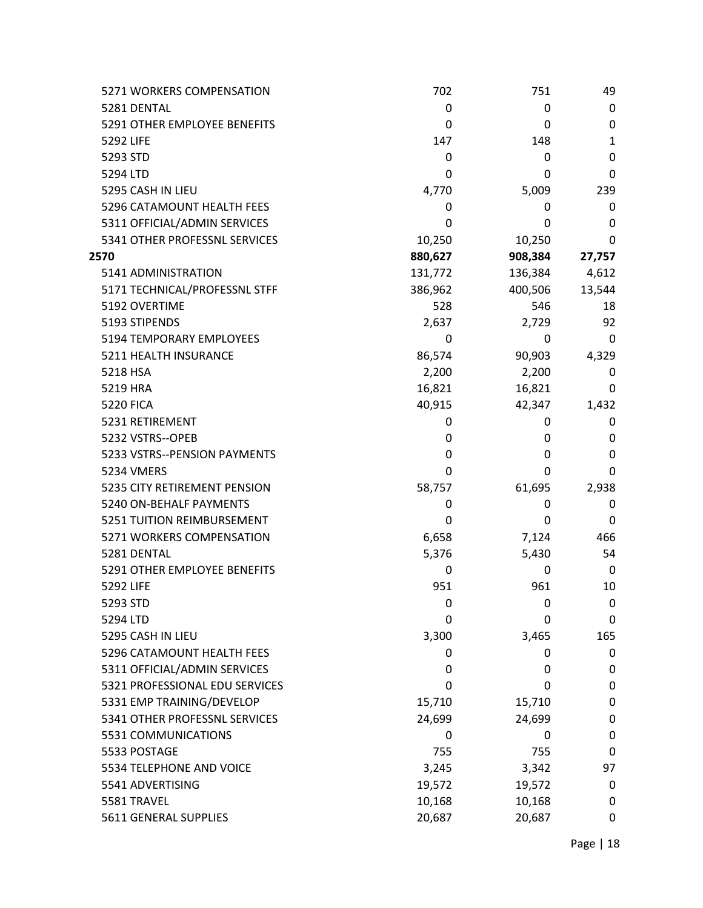| 5271 WORKERS COMPENSATION      | 702     | 751     | 49           |
|--------------------------------|---------|---------|--------------|
| 5281 DENTAL                    | 0       | 0       | 0            |
| 5291 OTHER EMPLOYEE BENEFITS   | 0       | 0       | 0            |
| 5292 LIFE                      | 147     | 148     | $\mathbf{1}$ |
| 5293 STD                       | 0       | 0       | 0            |
| 5294 LTD                       | 0       | 0       | 0            |
| 5295 CASH IN LIEU              | 4,770   | 5,009   | 239          |
| 5296 CATAMOUNT HEALTH FEES     | 0       | 0       | 0            |
| 5311 OFFICIAL/ADMIN SERVICES   | 0       | 0       | 0            |
| 5341 OTHER PROFESSNL SERVICES  | 10,250  | 10,250  | 0            |
| 2570                           | 880,627 | 908,384 | 27,757       |
| 5141 ADMINISTRATION            | 131,772 | 136,384 | 4,612        |
| 5171 TECHNICAL/PROFESSNL STFF  | 386,962 | 400,506 | 13,544       |
| 5192 OVERTIME                  | 528     | 546     | 18           |
| 5193 STIPENDS                  | 2,637   | 2,729   | 92           |
| 5194 TEMPORARY EMPLOYEES       | 0       | 0       | 0            |
| 5211 HEALTH INSURANCE          | 86,574  | 90,903  | 4,329        |
| 5218 HSA                       | 2,200   | 2,200   | 0            |
| 5219 HRA                       | 16,821  | 16,821  | 0            |
| <b>5220 FICA</b>               | 40,915  | 42,347  | 1,432        |
| 5231 RETIREMENT                | 0       | 0       | 0            |
| 5232 VSTRS--OPEB               | 0       | 0       | 0            |
| 5233 VSTRS--PENSION PAYMENTS   | 0       | 0       | 0            |
| 5234 VMERS                     | 0       | 0       | 0            |
| 5235 CITY RETIREMENT PENSION   | 58,757  | 61,695  | 2,938        |
| 5240 ON-BEHALF PAYMENTS        | 0       | 0       | 0            |
| 5251 TUITION REIMBURSEMENT     | 0       | 0       | 0            |
| 5271 WORKERS COMPENSATION      | 6,658   | 7,124   | 466          |
| 5281 DENTAL                    | 5,376   | 5,430   | 54           |
| 5291 OTHER EMPLOYEE BENEFITS   | 0       | 0       | 0            |
| 5292 LIFE                      | 951     | 961     | 10           |
| 5293 STD                       | 0       | 0       | 0            |
| 5294 LTD                       | 0       | 0       | 0            |
| 5295 CASH IN LIEU              | 3,300   | 3,465   | 165          |
| 5296 CATAMOUNT HEALTH FEES     | 0       | 0       | 0            |
| 5311 OFFICIAL/ADMIN SERVICES   | 0       | 0       | 0            |
| 5321 PROFESSIONAL EDU SERVICES | 0       | 0       | 0            |
| 5331 EMP TRAINING/DEVELOP      | 15,710  | 15,710  | 0            |
| 5341 OTHER PROFESSNL SERVICES  | 24,699  | 24,699  | 0            |
| 5531 COMMUNICATIONS            | 0       | 0       | 0            |
| 5533 POSTAGE                   | 755     | 755     | 0            |
| 5534 TELEPHONE AND VOICE       | 3,245   | 3,342   | 97           |
| 5541 ADVERTISING               | 19,572  | 19,572  | 0            |
| 5581 TRAVEL                    | 10,168  | 10,168  | 0            |
| 5611 GENERAL SUPPLIES          | 20,687  | 20,687  | 0            |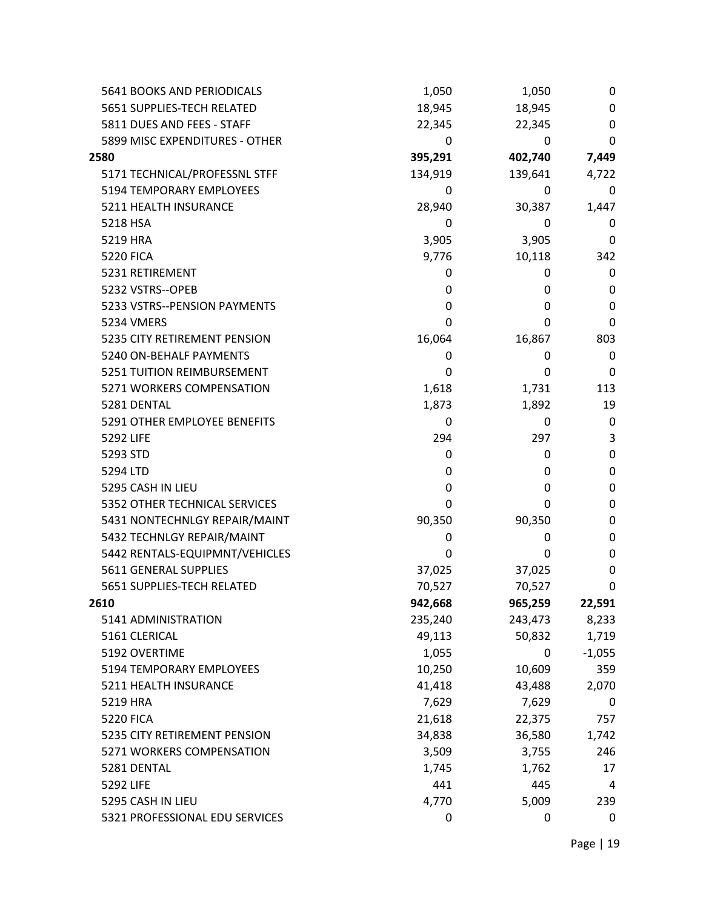| 5641 BOOKS AND PERIODICALS     | 1,050   | 1,050   | 0                |
|--------------------------------|---------|---------|------------------|
| 5651 SUPPLIES-TECH RELATED     | 18,945  | 18,945  | 0                |
| 5811 DUES AND FEES - STAFF     | 22,345  | 22,345  | 0                |
| 5899 MISC EXPENDITURES - OTHER | 0       | 0       | 0                |
| 2580                           | 395,291 | 402,740 | 7,449            |
| 5171 TECHNICAL/PROFESSNL STFF  | 134,919 | 139,641 | 4,722            |
| 5194 TEMPORARY EMPLOYEES       | 0       | 0       | 0                |
| 5211 HEALTH INSURANCE          | 28,940  | 30,387  | 1,447            |
| 5218 HSA                       | 0       | 0       | 0                |
| 5219 HRA                       | 3,905   | 3,905   | 0                |
| <b>5220 FICA</b>               | 9,776   | 10,118  | 342              |
| 5231 RETIREMENT                | 0       | 0       | 0                |
| 5232 VSTRS--OPEB               | 0       | 0       | 0                |
| 5233 VSTRS--PENSION PAYMENTS   | 0       | 0       | 0                |
| <b>5234 VMERS</b>              | 0       | 0       | 0                |
| 5235 CITY RETIREMENT PENSION   | 16,064  | 16,867  | 803              |
| 5240 ON-BEHALF PAYMENTS        | 0       | 0       | 0                |
| 5251 TUITION REIMBURSEMENT     | 0       | 0       | 0                |
| 5271 WORKERS COMPENSATION      | 1,618   | 1,731   | 113              |
| 5281 DENTAL                    | 1,873   | 1,892   | 19               |
| 5291 OTHER EMPLOYEE BENEFITS   | 0       | 0       | 0                |
| 5292 LIFE                      | 294     | 297     | 3                |
| 5293 STD                       | 0       | 0       | $\mathbf 0$      |
| 5294 LTD                       | 0       | 0       | 0                |
| 5295 CASH IN LIEU              | 0       | 0       | 0                |
| 5352 OTHER TECHNICAL SERVICES  | 0       | 0       | 0                |
| 5431 NONTECHNLGY REPAIR/MAINT  | 90,350  | 90,350  | 0                |
| 5432 TECHNLGY REPAIR/MAINT     | 0       | 0       | $\boldsymbol{0}$ |
| 5442 RENTALS-EQUIPMNT/VEHICLES | 0       | 0       | 0                |
| 5611 GENERAL SUPPLIES          | 37,025  | 37,025  | 0                |
| 5651 SUPPLIES-TECH RELATED     | 70,527  | 70,527  | 0                |
| 2610                           | 942,668 | 965,259 | 22,591           |
| 5141 ADMINISTRATION            | 235,240 | 243,473 | 8,233            |
| 5161 CLERICAL                  | 49,113  | 50,832  | 1,719            |
| 5192 OVERTIME                  | 1,055   | 0       | $-1,055$         |
| 5194 TEMPORARY EMPLOYEES       | 10,250  | 10,609  | 359              |
| 5211 HEALTH INSURANCE          | 41,418  | 43,488  | 2,070            |
| 5219 HRA                       | 7,629   | 7,629   | 0                |
| <b>5220 FICA</b>               | 21,618  | 22,375  | 757              |
| 5235 CITY RETIREMENT PENSION   | 34,838  | 36,580  | 1,742            |
| 5271 WORKERS COMPENSATION      | 3,509   | 3,755   | 246              |
| 5281 DENTAL                    | 1,745   | 1,762   | 17               |
| 5292 LIFE                      | 441     | 445     | 4                |
| 5295 CASH IN LIEU              | 4,770   | 5,009   | 239              |
| 5321 PROFESSIONAL EDU SERVICES | 0       | 0       | 0                |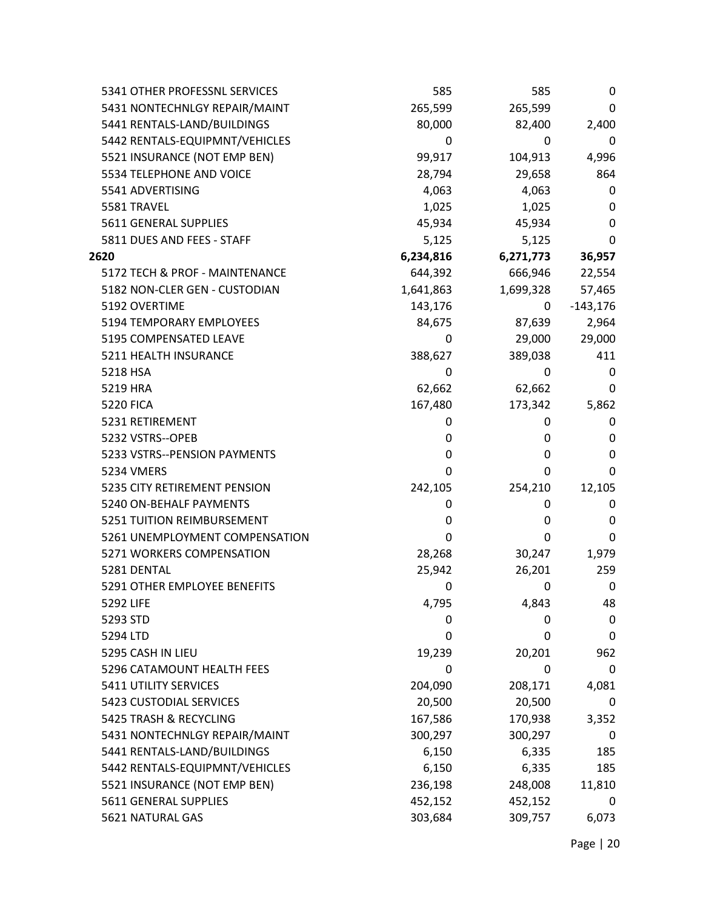| 5341 OTHER PROFESSNL SERVICES  | 585       | 585       | 0          |
|--------------------------------|-----------|-----------|------------|
| 5431 NONTECHNLGY REPAIR/MAINT  | 265,599   | 265,599   | 0          |
| 5441 RENTALS-LAND/BUILDINGS    | 80,000    | 82,400    | 2,400      |
| 5442 RENTALS-EQUIPMNT/VEHICLES | 0         | 0         | 0          |
| 5521 INSURANCE (NOT EMP BEN)   | 99,917    | 104,913   | 4,996      |
| 5534 TELEPHONE AND VOICE       | 28,794    | 29,658    | 864        |
| 5541 ADVERTISING               | 4,063     | 4,063     | 0          |
| 5581 TRAVEL                    | 1,025     | 1,025     | 0          |
| 5611 GENERAL SUPPLIES          | 45,934    | 45,934    | 0          |
| 5811 DUES AND FEES - STAFF     | 5,125     | 5,125     | 0          |
| 2620                           | 6,234,816 | 6,271,773 | 36,957     |
| 5172 TECH & PROF - MAINTENANCE | 644,392   | 666,946   | 22,554     |
| 5182 NON-CLER GEN - CUSTODIAN  | 1,641,863 | 1,699,328 | 57,465     |
| 5192 OVERTIME                  | 143,176   | 0         | $-143,176$ |
| 5194 TEMPORARY EMPLOYEES       | 84,675    | 87,639    | 2,964      |
| 5195 COMPENSATED LEAVE         | 0         | 29,000    | 29,000     |
| 5211 HEALTH INSURANCE          | 388,627   | 389,038   | 411        |
| 5218 HSA                       | 0         | 0         | 0          |
| 5219 HRA                       | 62,662    | 62,662    | 0          |
| <b>5220 FICA</b>               | 167,480   | 173,342   | 5,862      |
| 5231 RETIREMENT                | 0         | 0         | 0          |
| 5232 VSTRS--OPEB               | 0         | 0         | 0          |
| 5233 VSTRS--PENSION PAYMENTS   | 0         | 0         | 0          |
| 5234 VMERS                     | 0         | 0         | 0          |
| 5235 CITY RETIREMENT PENSION   | 242,105   | 254,210   | 12,105     |
| 5240 ON-BEHALF PAYMENTS        | 0         | 0         | 0          |
| 5251 TUITION REIMBURSEMENT     | 0         | 0         | 0          |
| 5261 UNEMPLOYMENT COMPENSATION | 0         | 0         | 0          |
| 5271 WORKERS COMPENSATION      | 28,268    | 30,247    | 1,979      |
| 5281 DENTAL                    | 25,942    | 26,201    | 259        |
| 5291 OTHER EMPLOYEE BENEFITS   | 0         | 0         | 0          |
| 5292 LIFE                      | 4,795     | 4,843     | 48         |
| 5293 STD                       | 0         | 0         | 0          |
| 5294 LTD                       | 0         | 0         | 0          |
| 5295 CASH IN LIEU              | 19,239    | 20,201    | 962        |
| 5296 CATAMOUNT HEALTH FEES     | 0         | 0         | 0          |
| 5411 UTILITY SERVICES          | 204,090   | 208,171   | 4,081      |
| 5423 CUSTODIAL SERVICES        | 20,500    | 20,500    | 0          |
| 5425 TRASH & RECYCLING         | 167,586   | 170,938   | 3,352      |
| 5431 NONTECHNLGY REPAIR/MAINT  | 300,297   | 300,297   | 0          |
| 5441 RENTALS-LAND/BUILDINGS    | 6,150     | 6,335     | 185        |
| 5442 RENTALS-EQUIPMNT/VEHICLES | 6,150     | 6,335     | 185        |
| 5521 INSURANCE (NOT EMP BEN)   | 236,198   | 248,008   | 11,810     |
| 5611 GENERAL SUPPLIES          | 452,152   | 452,152   | 0          |
| 5621 NATURAL GAS               | 303,684   | 309,757   | 6,073      |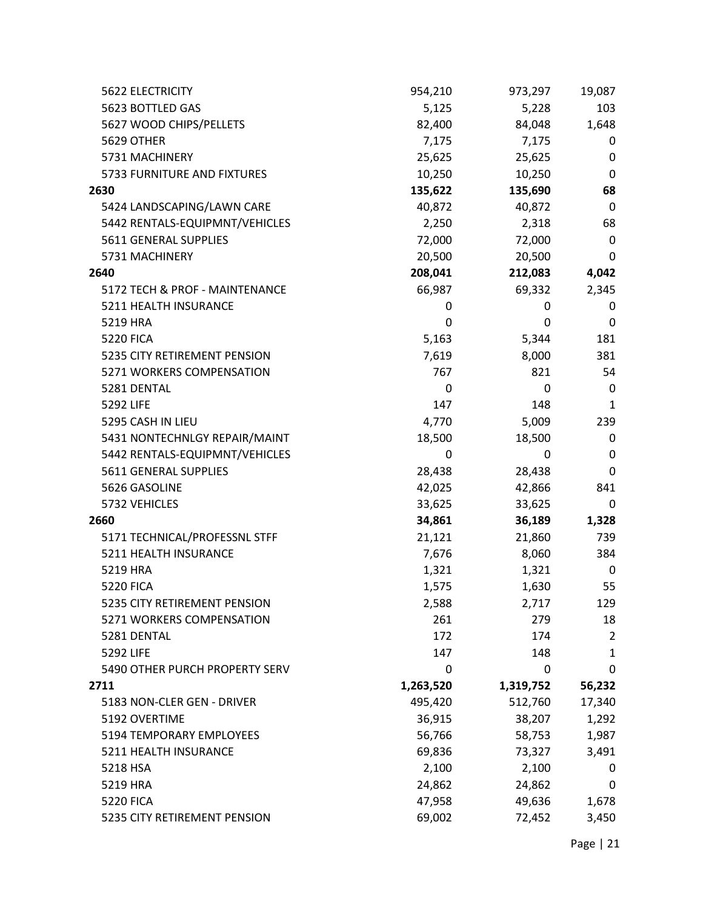| <b>5622 ELECTRICITY</b>        | 954,210   | 973,297   | 19,087         |
|--------------------------------|-----------|-----------|----------------|
| 5623 BOTTLED GAS               | 5,125     | 5,228     | 103            |
| 5627 WOOD CHIPS/PELLETS        | 82,400    | 84,048    | 1,648          |
| 5629 OTHER                     | 7,175     | 7,175     | 0              |
| 5731 MACHINERY                 | 25,625    | 25,625    | 0              |
| 5733 FURNITURE AND FIXTURES    | 10,250    | 10,250    | 0              |
| 2630                           | 135,622   | 135,690   | 68             |
| 5424 LANDSCAPING/LAWN CARE     | 40,872    | 40,872    | 0              |
| 5442 RENTALS-EQUIPMNT/VEHICLES | 2,250     | 2,318     | 68             |
| 5611 GENERAL SUPPLIES          | 72,000    | 72,000    | $\mathbf 0$    |
| 5731 MACHINERY                 | 20,500    | 20,500    | 0              |
| 2640                           | 208,041   | 212,083   | 4,042          |
| 5172 TECH & PROF - MAINTENANCE | 66,987    | 69,332    | 2,345          |
| 5211 HEALTH INSURANCE          | 0         | 0         | 0              |
| 5219 HRA                       | 0         | 0         | $\mathbf 0$    |
| <b>5220 FICA</b>               | 5,163     | 5,344     | 181            |
| 5235 CITY RETIREMENT PENSION   | 7,619     | 8,000     | 381            |
| 5271 WORKERS COMPENSATION      | 767       | 821       | 54             |
| 5281 DENTAL                    | 0         | 0         | 0              |
| 5292 LIFE                      | 147       | 148       | $\mathbf{1}$   |
| 5295 CASH IN LIEU              | 4,770     | 5,009     | 239            |
| 5431 NONTECHNLGY REPAIR/MAINT  | 18,500    | 18,500    | 0              |
| 5442 RENTALS-EQUIPMNT/VEHICLES | 0         | 0         | 0              |
| 5611 GENERAL SUPPLIES          | 28,438    | 28,438    | 0              |
| 5626 GASOLINE                  | 42,025    | 42,866    | 841            |
| 5732 VEHICLES                  | 33,625    | 33,625    | 0              |
| 2660                           | 34,861    | 36,189    | 1,328          |
| 5171 TECHNICAL/PROFESSNL STFF  | 21,121    | 21,860    | 739            |
| 5211 HEALTH INSURANCE          | 7,676     | 8,060     | 384            |
| 5219 HRA                       | 1,321     | 1,321     | 0              |
| <b>5220 FICA</b>               | 1,575     | 1,630     | 55             |
| 5235 CITY RETIREMENT PENSION   | 2,588     | 2,717     | 129            |
| 5271 WORKERS COMPENSATION      | 261       | 279       | 18             |
| 5281 DENTAL                    | 172       | 174       | $\overline{2}$ |
| 5292 LIFE                      | 147       | 148       | 1              |
| 5490 OTHER PURCH PROPERTY SERV | 0         | 0         | 0              |
| 2711                           | 1,263,520 | 1,319,752 | 56,232         |
| 5183 NON-CLER GEN - DRIVER     | 495,420   | 512,760   | 17,340         |
| 5192 OVERTIME                  | 36,915    | 38,207    | 1,292          |
| 5194 TEMPORARY EMPLOYEES       | 56,766    | 58,753    | 1,987          |
| 5211 HEALTH INSURANCE          | 69,836    | 73,327    | 3,491          |
| 5218 HSA                       | 2,100     | 2,100     | 0              |
| 5219 HRA                       | 24,862    | 24,862    | 0              |
| <b>5220 FICA</b>               | 47,958    | 49,636    | 1,678          |
| 5235 CITY RETIREMENT PENSION   | 69,002    | 72,452    | 3,450          |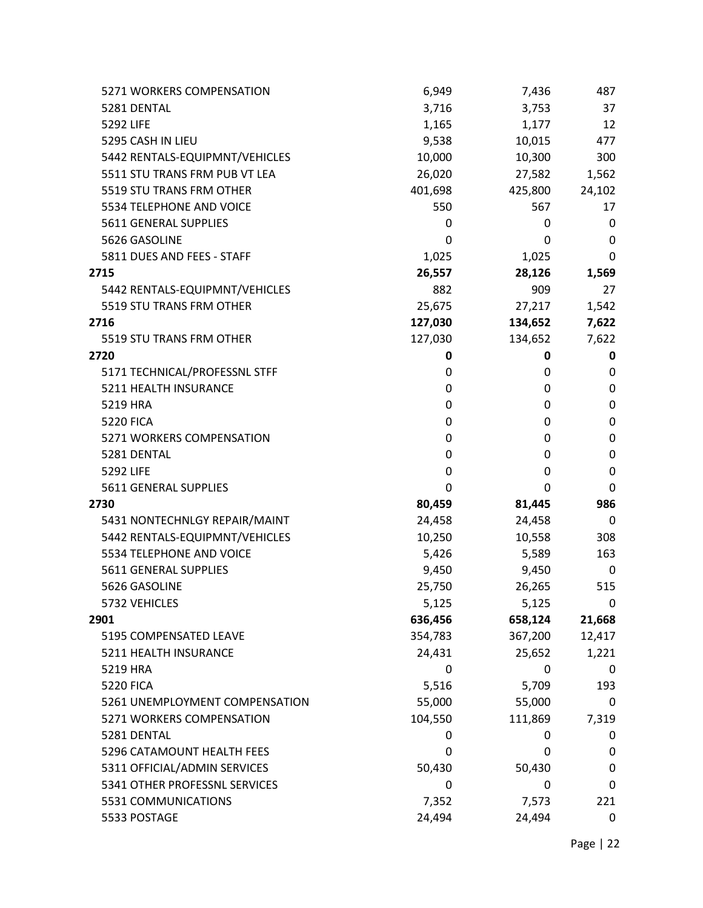| 5271 WORKERS COMPENSATION      | 6,949   | 7,436   | 487              |
|--------------------------------|---------|---------|------------------|
| 5281 DENTAL                    | 3,716   | 3,753   | 37               |
| 5292 LIFE                      | 1,165   | 1,177   | 12               |
| 5295 CASH IN LIEU              | 9,538   | 10,015  | 477              |
| 5442 RENTALS-EQUIPMNT/VEHICLES | 10,000  | 10,300  | 300              |
| 5511 STU TRANS FRM PUB VT LEA  | 26,020  | 27,582  | 1,562            |
| 5519 STU TRANS FRM OTHER       | 401,698 | 425,800 | 24,102           |
| 5534 TELEPHONE AND VOICE       | 550     | 567     | 17               |
| 5611 GENERAL SUPPLIES          | 0       | 0       | 0                |
| 5626 GASOLINE                  | 0       | 0       | 0                |
| 5811 DUES AND FEES - STAFF     | 1,025   | 1,025   | 0                |
| 2715                           | 26,557  | 28,126  | 1,569            |
| 5442 RENTALS-EQUIPMNT/VEHICLES | 882     | 909     | 27               |
| 5519 STU TRANS FRM OTHER       | 25,675  | 27,217  | 1,542            |
| 2716                           | 127,030 | 134,652 | 7,622            |
| 5519 STU TRANS FRM OTHER       | 127,030 | 134,652 | 7,622            |
| 2720                           | 0       | 0       | 0                |
| 5171 TECHNICAL/PROFESSNL STFF  | 0       | 0       | 0                |
| 5211 HEALTH INSURANCE          | 0       | 0       | 0                |
| 5219 HRA                       | 0       | 0       | 0                |
| <b>5220 FICA</b>               | 0       | 0       | 0                |
| 5271 WORKERS COMPENSATION      | 0       | 0       | $\boldsymbol{0}$ |
| 5281 DENTAL                    | 0       | 0       | $\pmb{0}$        |
| 5292 LIFE                      | 0       | 0       | 0                |
| 5611 GENERAL SUPPLIES          | 0       | 0       | 0                |
| 2730                           | 80,459  | 81,445  | 986              |
| 5431 NONTECHNLGY REPAIR/MAINT  | 24,458  | 24,458  | 0                |
| 5442 RENTALS-EQUIPMNT/VEHICLES | 10,250  | 10,558  | 308              |
| 5534 TELEPHONE AND VOICE       | 5,426   | 5,589   | 163              |
| 5611 GENERAL SUPPLIES          | 9,450   | 9,450   | 0                |
| 5626 GASOLINE                  | 25,750  | 26,265  | 515              |
| 5732 VEHICLES                  | 5,125   | 5,125   | 0                |
| 2901                           | 636,456 | 658,124 | 21,668           |
| 5195 COMPENSATED LEAVE         | 354,783 | 367,200 | 12,417           |
| 5211 HEALTH INSURANCE          | 24,431  | 25,652  | 1,221            |
| 5219 HRA                       | 0       | 0       | 0                |
| <b>5220 FICA</b>               | 5,516   | 5,709   | 193              |
| 5261 UNEMPLOYMENT COMPENSATION | 55,000  | 55,000  | 0                |
| 5271 WORKERS COMPENSATION      | 104,550 | 111,869 | 7,319            |
| 5281 DENTAL                    | 0       | 0       | 0                |
| 5296 CATAMOUNT HEALTH FEES     | 0       | 0       | 0                |
| 5311 OFFICIAL/ADMIN SERVICES   | 50,430  | 50,430  | 0                |
| 5341 OTHER PROFESSNL SERVICES  | 0       | 0       | 0                |
| 5531 COMMUNICATIONS            | 7,352   | 7,573   | 221              |
| 5533 POSTAGE                   | 24,494  | 24,494  | 0                |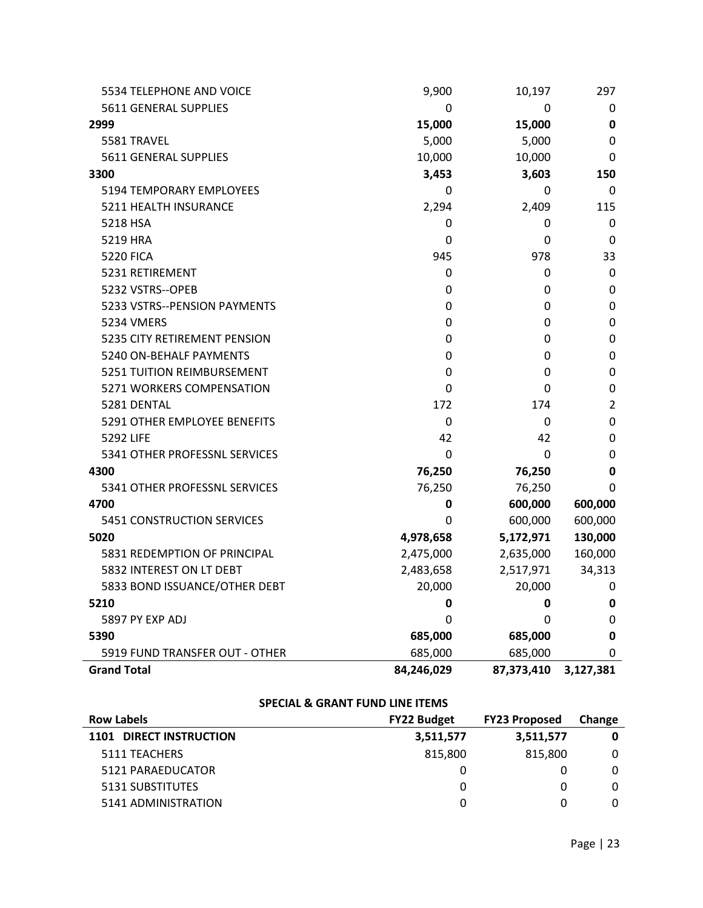| 5534 TELEPHONE AND VOICE       | 9,900       | 10,197     | 297              |
|--------------------------------|-------------|------------|------------------|
| 5611 GENERAL SUPPLIES          | 0           | 0          | 0                |
| 2999                           | 15,000      | 15,000     | 0                |
| 5581 TRAVEL                    | 5,000       | 5,000      | 0                |
| 5611 GENERAL SUPPLIES          | 10,000      | 10,000     | 0                |
| 3300                           | 3,453       | 3,603      | 150              |
| 5194 TEMPORARY EMPLOYEES       | 0           | 0          | 0                |
| 5211 HEALTH INSURANCE          | 2,294       | 2,409      | 115              |
| 5218 HSA                       | 0           | 0          | 0                |
| 5219 HRA                       | 0           | 0          | 0                |
| <b>5220 FICA</b>               | 945         | 978        | 33               |
| 5231 RETIREMENT                | 0           | 0          | 0                |
| 5232 VSTRS--OPEB               | 0           | 0          | $\boldsymbol{0}$ |
| 5233 VSTRS--PENSION PAYMENTS   | 0           | 0          | 0                |
| 5234 VMERS                     | 0           | 0          | 0                |
| 5235 CITY RETIREMENT PENSION   | 0           | 0          | 0                |
| 5240 ON-BEHALF PAYMENTS        | 0           | 0          | 0                |
| 5251 TUITION REIMBURSEMENT     | 0           | 0          | 0                |
| 5271 WORKERS COMPENSATION      | 0           | 0          | 0                |
| 5281 DENTAL                    | 172         | 174        | 2                |
| 5291 OTHER EMPLOYEE BENEFITS   | 0           | 0          | 0                |
| 5292 LIFE                      | 42          | 42         | 0                |
| 5341 OTHER PROFESSNL SERVICES  | $\mathbf 0$ | 0          | 0                |
| 4300                           | 76,250      | 76,250     | 0                |
| 5341 OTHER PROFESSNL SERVICES  | 76,250      | 76,250     | $\mathbf 0$      |
| 4700                           | $\mathbf 0$ | 600,000    | 600,000          |
| 5451 CONSTRUCTION SERVICES     | 0           | 600,000    | 600,000          |
| 5020                           | 4,978,658   | 5,172,971  | 130,000          |
| 5831 REDEMPTION OF PRINCIPAL   | 2,475,000   | 2,635,000  | 160,000          |
| 5832 INTEREST ON LT DEBT       | 2,483,658   | 2,517,971  | 34,313           |
| 5833 BOND ISSUANCE/OTHER DEBT  | 20,000      | 20,000     | 0                |
| 5210                           | 0           | 0          | 0                |
| 5897 PY EXP ADJ                | 0           | 0          | 0                |
| 5390                           | 685,000     | 685,000    | 0                |
| 5919 FUND TRANSFER OUT - OTHER | 685,000     | 685,000    | 0                |
| <b>Grand Total</b>             | 84,246,029  | 87,373,410 | 3,127,381        |

## **SPECIAL & GRANT FUND LINE ITEMS**

| <b>Row Labels</b>       | <b>FY22 Budget</b> | <b>FY23 Proposed</b> | <b>Change</b> |
|-------------------------|--------------------|----------------------|---------------|
| 1101 DIRECT INSTRUCTION | 3,511,577          | 3,511,577            | 0             |
| 5111 TEACHERS           | 815.800            | 815,800              | 0             |
| 5121 PARAEDUCATOR       |                    |                      | 0             |
| 5131 SUBSTITUTES        |                    |                      | 0             |
| 5141 ADMINISTRATION     |                    |                      | 0             |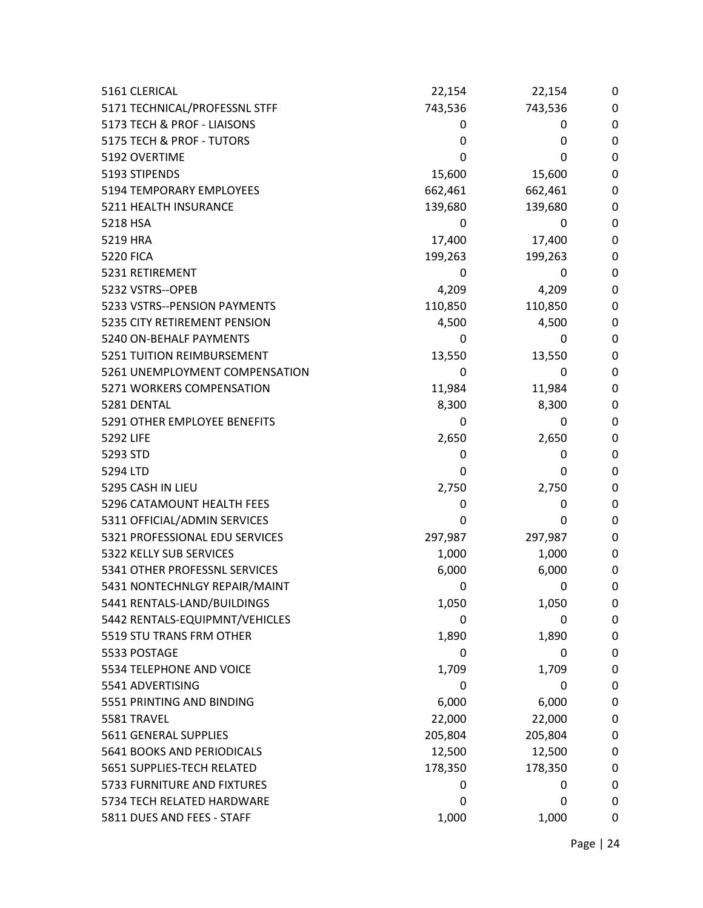| 5161 CLERICAL                  | 22,154  | 22,154  | 0           |
|--------------------------------|---------|---------|-------------|
| 5171 TECHNICAL/PROFESSNL STFF  | 743,536 | 743,536 | 0           |
| 5173 TECH & PROF - LIAISONS    | 0       | 0       | 0           |
| 5175 TECH & PROF - TUTORS      | 0       | 0       | $\mathbf 0$ |
| 5192 OVERTIME                  | 0       | 0       | 0           |
| 5193 STIPENDS                  | 15,600  | 15,600  | 0           |
| 5194 TEMPORARY EMPLOYEES       | 662,461 | 662,461 | 0           |
| 5211 HEALTH INSURANCE          | 139,680 | 139,680 | 0           |
| 5218 HSA                       | 0       | 0       | $\mathbf 0$ |
| 5219 HRA                       | 17,400  | 17,400  | 0           |
| <b>5220 FICA</b>               | 199,263 | 199,263 | 0           |
| 5231 RETIREMENT                | 0       | 0       | 0           |
| 5232 VSTRS--OPEB               | 4,209   | 4,209   | 0           |
| 5233 VSTRS--PENSION PAYMENTS   | 110,850 | 110,850 | 0           |
| 5235 CITY RETIREMENT PENSION   | 4,500   | 4,500   | 0           |
| 5240 ON-BEHALF PAYMENTS        | 0       | 0       | $\mathbf 0$ |
| 5251 TUITION REIMBURSEMENT     | 13,550  | 13,550  | 0           |
| 5261 UNEMPLOYMENT COMPENSATION | 0       | 0       | $\mathbf 0$ |
| 5271 WORKERS COMPENSATION      | 11,984  | 11,984  | 0           |
| 5281 DENTAL                    | 8,300   | 8,300   | 0           |
| 5291 OTHER EMPLOYEE BENEFITS   | 0       | 0       | $\mathbf 0$ |
| 5292 LIFE                      | 2,650   | 2,650   | 0           |
| 5293 STD                       | 0       | 0       | 0           |
| 5294 LTD                       | 0       | 0       | 0           |
| 5295 CASH IN LIEU              | 2,750   | 2,750   | 0           |
| 5296 CATAMOUNT HEALTH FEES     | 0       | 0       | $\mathbf 0$ |
| 5311 OFFICIAL/ADMIN SERVICES   | 0       | 0       | $\mathbf 0$ |
| 5321 PROFESSIONAL EDU SERVICES | 297,987 | 297,987 | 0           |
| 5322 KELLY SUB SERVICES        | 1,000   | 1,000   | 0           |
| 5341 OTHER PROFESSNL SERVICES  | 6,000   | 6,000   | 0           |
| 5431 NONTECHNLGY REPAIR/MAINT  | 0       | 0       | 0           |
| 5441 RENTALS-LAND/BUILDINGS    | 1,050   | 1,050   | 0           |
| 5442 RENTALS-EQUIPMNT/VEHICLES | 0       | 0       | 0           |
| 5519 STU TRANS FRM OTHER       | 1,890   | 1,890   | 0           |
| 5533 POSTAGE                   | 0       | 0       | 0           |
| 5534 TELEPHONE AND VOICE       | 1,709   | 1,709   | 0           |
| 5541 ADVERTISING               | 0       | 0       | 0           |
| 5551 PRINTING AND BINDING      | 6,000   | 6,000   | 0           |
| 5581 TRAVEL                    | 22,000  | 22,000  | 0           |
| 5611 GENERAL SUPPLIES          | 205,804 | 205,804 | 0           |
| 5641 BOOKS AND PERIODICALS     | 12,500  | 12,500  | 0           |
| 5651 SUPPLIES-TECH RELATED     | 178,350 | 178,350 | 0           |
| 5733 FURNITURE AND FIXTURES    | 0       | 0       | 0           |
| 5734 TECH RELATED HARDWARE     | 0       | 0       | 0           |
| 5811 DUES AND FEES - STAFF     | 1,000   | 1,000   | 0           |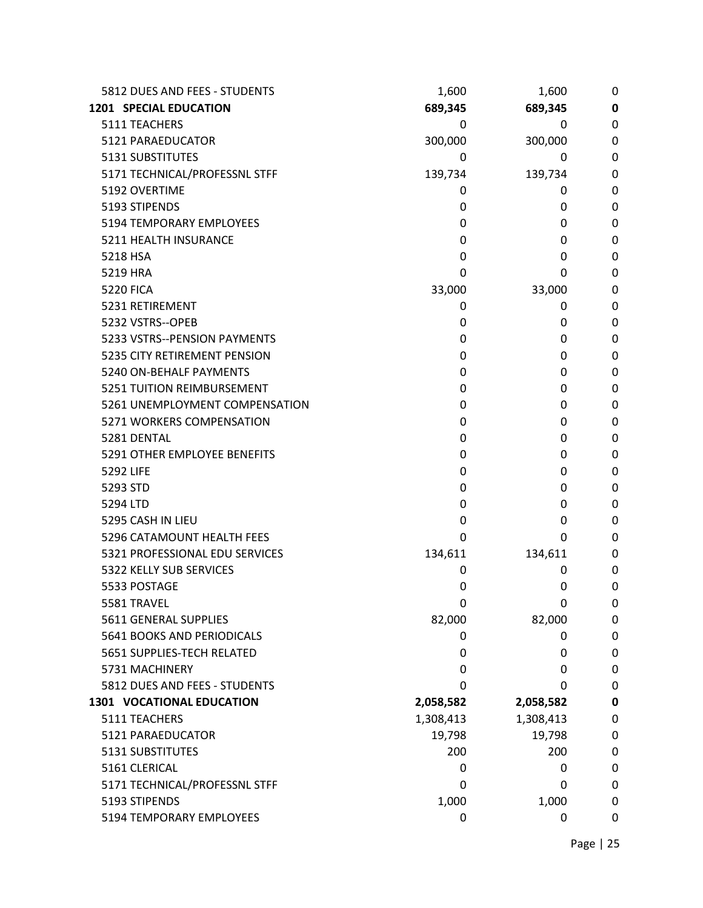| 5812 DUES AND FEES - STUDENTS    | 1,600     | 1,600     | 0 |
|----------------------------------|-----------|-----------|---|
| <b>1201 SPECIAL EDUCATION</b>    | 689,345   | 689,345   | 0 |
| 5111 TEACHERS                    | 0         | 0         | 0 |
| 5121 PARAEDUCATOR                | 300,000   | 300,000   | 0 |
| 5131 SUBSTITUTES                 | 0         | 0         | 0 |
| 5171 TECHNICAL/PROFESSNL STFF    | 139,734   | 139,734   | 0 |
| 5192 OVERTIME                    | 0         | 0         | 0 |
| 5193 STIPENDS                    | 0         | 0         | 0 |
| <b>5194 TEMPORARY EMPLOYEES</b>  | 0         | 0         | 0 |
| 5211 HEALTH INSURANCE            | 0         | 0         | 0 |
| 5218 HSA                         | 0         | 0         | 0 |
| 5219 HRA                         | 0         | 0         | 0 |
| <b>5220 FICA</b>                 | 33,000    | 33,000    | 0 |
| 5231 RETIREMENT                  | 0         | 0         | 0 |
| 5232 VSTRS--OPEB                 | 0         | 0         | 0 |
| 5233 VSTRS--PENSION PAYMENTS     | 0         | 0         | 0 |
| 5235 CITY RETIREMENT PENSION     | 0         | 0         | 0 |
| 5240 ON-BEHALF PAYMENTS          | 0         | 0         | 0 |
| 5251 TUITION REIMBURSEMENT       | 0         | 0         | 0 |
| 5261 UNEMPLOYMENT COMPENSATION   | 0         | 0         | 0 |
| 5271 WORKERS COMPENSATION        | 0         | 0         | 0 |
| 5281 DENTAL                      | 0         | 0         | 0 |
| 5291 OTHER EMPLOYEE BENEFITS     | 0         | 0         | 0 |
| 5292 LIFE                        | 0         | 0         | 0 |
| 5293 STD                         | 0         | 0         | 0 |
| 5294 LTD                         | 0         | 0         | 0 |
| 5295 CASH IN LIEU                | 0         | 0         | 0 |
| 5296 CATAMOUNT HEALTH FEES       | 0         | 0         | 0 |
| 5321 PROFESSIONAL EDU SERVICES   | 134,611   | 134,611   | 0 |
| 5322 KELLY SUB SERVICES          | 0         | 0         | 0 |
| 5533 POSTAGE                     | 0         | 0         | 0 |
| 5581 TRAVEL                      | 0         | 0         | 0 |
| 5611 GENERAL SUPPLIES            | 82,000    | 82,000    | 0 |
| 5641 BOOKS AND PERIODICALS       | 0         | 0         | 0 |
| 5651 SUPPLIES-TECH RELATED       | 0         | 0         | 0 |
| 5731 MACHINERY                   | 0         | 0         | 0 |
| 5812 DUES AND FEES - STUDENTS    | 0         | 0         | 0 |
| <b>1301 VOCATIONAL EDUCATION</b> | 2,058,582 | 2,058,582 | 0 |
| 5111 TEACHERS                    | 1,308,413 | 1,308,413 | 0 |
| 5121 PARAEDUCATOR                | 19,798    | 19,798    | 0 |
| 5131 SUBSTITUTES                 | 200       | 200       | 0 |
| 5161 CLERICAL                    | 0         | 0         | 0 |
| 5171 TECHNICAL/PROFESSNL STFF    | 0         | 0         | 0 |
| 5193 STIPENDS                    | 1,000     | 1,000     | 0 |
| 5194 TEMPORARY EMPLOYEES         | 0         | 0         | 0 |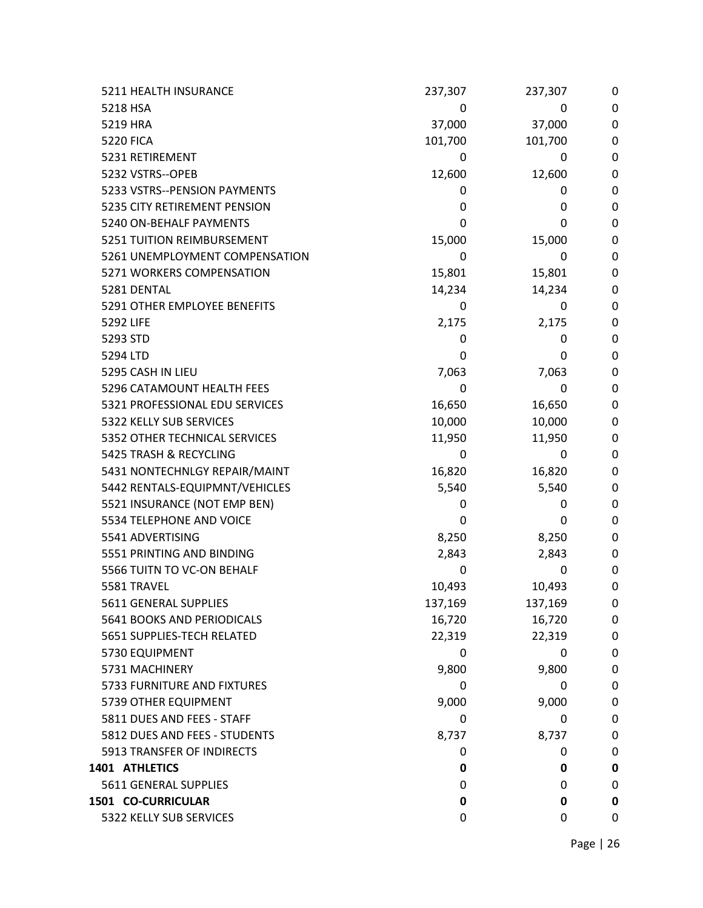| 5211 HEALTH INSURANCE          | 237,307 | 237,307 | 0                |
|--------------------------------|---------|---------|------------------|
| 5218 HSA                       | 0       | 0       | $\mathbf 0$      |
| 5219 HRA                       | 37,000  | 37,000  | 0                |
| <b>5220 FICA</b>               | 101,700 | 101,700 | 0                |
| 5231 RETIREMENT                | 0       | 0       | 0                |
| 5232 VSTRS--OPEB               | 12,600  | 12,600  | 0                |
| 5233 VSTRS--PENSION PAYMENTS   | 0       | 0       | 0                |
| 5235 CITY RETIREMENT PENSION   | 0       | 0       | 0                |
| 5240 ON-BEHALF PAYMENTS        | 0       | 0       | 0                |
| 5251 TUITION REIMBURSEMENT     | 15,000  | 15,000  | 0                |
| 5261 UNEMPLOYMENT COMPENSATION | 0       | 0       | 0                |
| 5271 WORKERS COMPENSATION      | 15,801  | 15,801  | 0                |
| 5281 DENTAL                    | 14,234  | 14,234  | 0                |
| 5291 OTHER EMPLOYEE BENEFITS   | 0       | 0       | 0                |
| 5292 LIFE                      | 2,175   | 2,175   | 0                |
| 5293 STD                       | 0       | 0       | 0                |
| 5294 LTD                       | 0       | 0       | 0                |
| 5295 CASH IN LIEU              | 7,063   | 7,063   | 0                |
| 5296 CATAMOUNT HEALTH FEES     | 0       | 0       | 0                |
| 5321 PROFESSIONAL EDU SERVICES | 16,650  | 16,650  | 0                |
| 5322 KELLY SUB SERVICES        | 10,000  | 10,000  | 0                |
| 5352 OTHER TECHNICAL SERVICES  | 11,950  | 11,950  | 0                |
| 5425 TRASH & RECYCLING         | 0       | 0       | $\boldsymbol{0}$ |
| 5431 NONTECHNLGY REPAIR/MAINT  | 16,820  | 16,820  | 0                |
| 5442 RENTALS-EQUIPMNT/VEHICLES | 5,540   | 5,540   | 0                |
| 5521 INSURANCE (NOT EMP BEN)   | 0       | 0       | 0                |
| 5534 TELEPHONE AND VOICE       | 0       | 0       | $\mathbf 0$      |
| 5541 ADVERTISING               | 8,250   | 8,250   | 0                |
| 5551 PRINTING AND BINDING      | 2,843   | 2,843   | 0                |
| 5566 TUITN TO VC-ON BEHALF     | 0       | 0       | 0                |
| 5581 TRAVEL                    | 10,493  | 10,493  | 0                |
| 5611 GENERAL SUPPLIES          | 137,169 | 137,169 | 0                |
| 5641 BOOKS AND PERIODICALS     | 16,720  | 16,720  | 0                |
| 5651 SUPPLIES-TECH RELATED     | 22,319  | 22,319  | 0                |
| 5730 EQUIPMENT                 | 0       | 0       | 0                |
| 5731 MACHINERY                 | 9,800   | 9,800   | 0                |
| 5733 FURNITURE AND FIXTURES    | 0       | 0       | 0                |
| 5739 OTHER EQUIPMENT           | 9,000   | 9,000   | 0                |
| 5811 DUES AND FEES - STAFF     | 0       | 0       | 0                |
| 5812 DUES AND FEES - STUDENTS  | 8,737   | 8,737   | 0                |
| 5913 TRANSFER OF INDIRECTS     | 0       | 0       | 0                |
| 1401 ATHLETICS                 | 0       | 0       | $\bf{0}$         |
| 5611 GENERAL SUPPLIES          | 0       | 0       | 0                |
| 1501 CO-CURRICULAR             | 0       | 0       | $\bf{0}$         |
| 5322 KELLY SUB SERVICES        | 0       | 0       | 0                |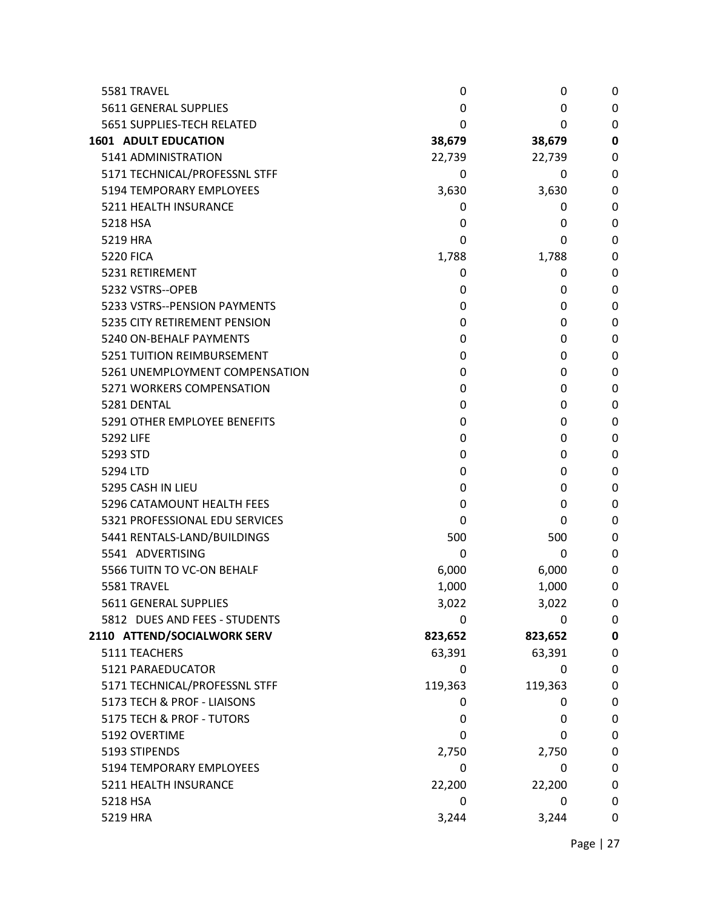| 5581 TRAVEL                    | 0       | 0            | 0         |
|--------------------------------|---------|--------------|-----------|
| 5611 GENERAL SUPPLIES          | 0       | 0            | 0         |
| 5651 SUPPLIES-TECH RELATED     | 0       | 0            | 0         |
| <b>1601 ADULT EDUCATION</b>    | 38,679  | 38,679       | 0         |
| 5141 ADMINISTRATION            | 22,739  | 22,739       | 0         |
| 5171 TECHNICAL/PROFESSNL STFF  | 0       | 0            | 0         |
| 5194 TEMPORARY EMPLOYEES       | 3,630   | 3,630        | 0         |
| 5211 HEALTH INSURANCE          | 0       | 0            | 0         |
| 5218 HSA                       | 0       | 0            | 0         |
| 5219 HRA                       | 0       | 0            | 0         |
| <b>5220 FICA</b>               | 1,788   | 1,788        | 0         |
| 5231 RETIREMENT                | 0       | 0            | 0         |
| 5232 VSTRS--OPEB               | 0       | 0            | 0         |
| 5233 VSTRS--PENSION PAYMENTS   | 0       | 0            | 0         |
| 5235 CITY RETIREMENT PENSION   | 0       | 0            | 0         |
| 5240 ON-BEHALF PAYMENTS        | 0       | 0            | 0         |
| 5251 TUITION REIMBURSEMENT     | 0       | 0            | 0         |
| 5261 UNEMPLOYMENT COMPENSATION | 0       | 0            | 0         |
| 5271 WORKERS COMPENSATION      | 0       | 0            | 0         |
| 5281 DENTAL                    | 0       | 0            | 0         |
| 5291 OTHER EMPLOYEE BENEFITS   | 0       | 0            | 0         |
| 5292 LIFE                      | 0       | 0            | 0         |
| 5293 STD                       | 0       | 0            | 0         |
| 5294 LTD                       | 0       | 0            | 0         |
| 5295 CASH IN LIEU              | 0       | 0            | 0         |
| 5296 CATAMOUNT HEALTH FEES     | 0       | 0            | 0         |
| 5321 PROFESSIONAL EDU SERVICES | 0       | 0            | 0         |
| 5441 RENTALS-LAND/BUILDINGS    | 500     | 500          | 0         |
| 5541 ADVERTISING               | 0       | 0            | 0         |
| 5566 TUITN TO VC-ON BEHALF     | 6,000   | 6,000        | 0         |
| 5581 TRAVEL                    | 1,000   | 1,000        | 0         |
| 5611 GENERAL SUPPLIES          | 3,022   | 3,022        | 0         |
| 5812 DUES AND FEES - STUDENTS  | 0       | 0            | 0         |
| 2110 ATTEND/SOCIALWORK SERV    | 823,652 | 823,652      | $\pmb{0}$ |
| 5111 TEACHERS                  | 63,391  | 63,391       | 0         |
| 5121 PARAEDUCATOR              | 0       | $\mathbf{0}$ | 0         |
| 5171 TECHNICAL/PROFESSNL STFF  | 119,363 | 119,363      | 0         |
| 5173 TECH & PROF - LIAISONS    | 0       | 0            | 0         |
| 5175 TECH & PROF - TUTORS      | 0       | 0            | 0         |
| 5192 OVERTIME                  | 0       | 0            | 0         |
| 5193 STIPENDS                  | 2,750   | 2,750        | 0         |
| 5194 TEMPORARY EMPLOYEES       | 0       | 0            | 0         |
| 5211 HEALTH INSURANCE          | 22,200  | 22,200       | 0         |
| 5218 HSA                       | 0       | 0            | 0         |
| 5219 HRA                       | 3,244   | 3,244        | 0         |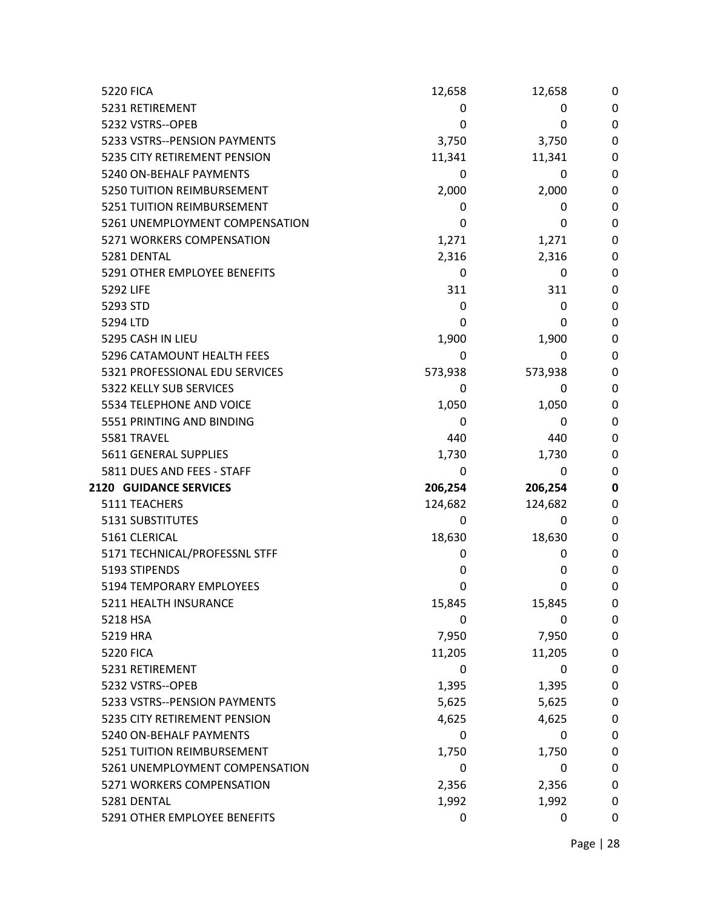| <b>5220 FICA</b>               | 12,658  | 12,658  | 0           |
|--------------------------------|---------|---------|-------------|
| 5231 RETIREMENT                | 0       | 0       | 0           |
| 5232 VSTRS--OPEB               | 0       | 0       | $\mathbf 0$ |
| 5233 VSTRS--PENSION PAYMENTS   | 3,750   | 3,750   | 0           |
| 5235 CITY RETIREMENT PENSION   | 11,341  | 11,341  | 0           |
| 5240 ON-BEHALF PAYMENTS        | 0       | 0       | 0           |
| 5250 TUITION REIMBURSEMENT     | 2,000   | 2,000   | 0           |
| 5251 TUITION REIMBURSEMENT     | 0       | 0       | 0           |
| 5261 UNEMPLOYMENT COMPENSATION | 0       | 0       | 0           |
| 5271 WORKERS COMPENSATION      | 1,271   | 1,271   | 0           |
| 5281 DENTAL                    | 2,316   | 2,316   | 0           |
| 5291 OTHER EMPLOYEE BENEFITS   | 0       | 0       | 0           |
| 5292 LIFE                      | 311     | 311     | 0           |
| 5293 STD                       | 0       | 0       | 0           |
| 5294 LTD                       | 0       | 0       | 0           |
| 5295 CASH IN LIEU              | 1,900   | 1,900   | 0           |
| 5296 CATAMOUNT HEALTH FEES     | 0       | 0       | 0           |
| 5321 PROFESSIONAL EDU SERVICES | 573,938 | 573,938 | 0           |
| 5322 KELLY SUB SERVICES        | 0       | 0       | 0           |
| 5534 TELEPHONE AND VOICE       | 1,050   | 1,050   | 0           |
| 5551 PRINTING AND BINDING      | 0       | 0       | 0           |
| 5581 TRAVEL                    | 440     | 440     | 0           |
| 5611 GENERAL SUPPLIES          | 1,730   | 1,730   | 0           |
| 5811 DUES AND FEES - STAFF     | 0       | 0       | 0           |
| <b>2120 GUIDANCE SERVICES</b>  | 206,254 | 206,254 | 0           |
| 5111 TEACHERS                  | 124,682 | 124,682 | 0           |
| <b>5131 SUBSTITUTES</b>        | 0       | 0       | 0           |
| 5161 CLERICAL                  | 18,630  | 18,630  | 0           |
| 5171 TECHNICAL/PROFESSNL STFF  | 0       | 0       | 0           |
| 5193 STIPENDS                  | 0       | 0       | 0           |
| 5194 TEMPORARY EMPLOYEES       | 0       | 0       | 0           |
| 5211 HEALTH INSURANCE          | 15,845  | 15,845  | 0           |
| 5218 HSA                       | 0       | 0       | 0           |
| 5219 HRA                       | 7,950   | 7,950   | 0           |
| <b>5220 FICA</b>               | 11,205  | 11,205  | 0           |
| 5231 RETIREMENT                | 0       | 0       | 0           |
| 5232 VSTRS--OPEB               | 1,395   | 1,395   | 0           |
| 5233 VSTRS--PENSION PAYMENTS   | 5,625   | 5,625   | 0           |
| 5235 CITY RETIREMENT PENSION   | 4,625   | 4,625   | 0           |
| 5240 ON-BEHALF PAYMENTS        | 0       | 0       | 0           |
| 5251 TUITION REIMBURSEMENT     | 1,750   | 1,750   | 0           |
| 5261 UNEMPLOYMENT COMPENSATION | 0       | 0       | 0           |
| 5271 WORKERS COMPENSATION      | 2,356   | 2,356   | 0           |
| 5281 DENTAL                    | 1,992   | 1,992   | 0           |
| 5291 OTHER EMPLOYEE BENEFITS   | 0       | 0       | 0           |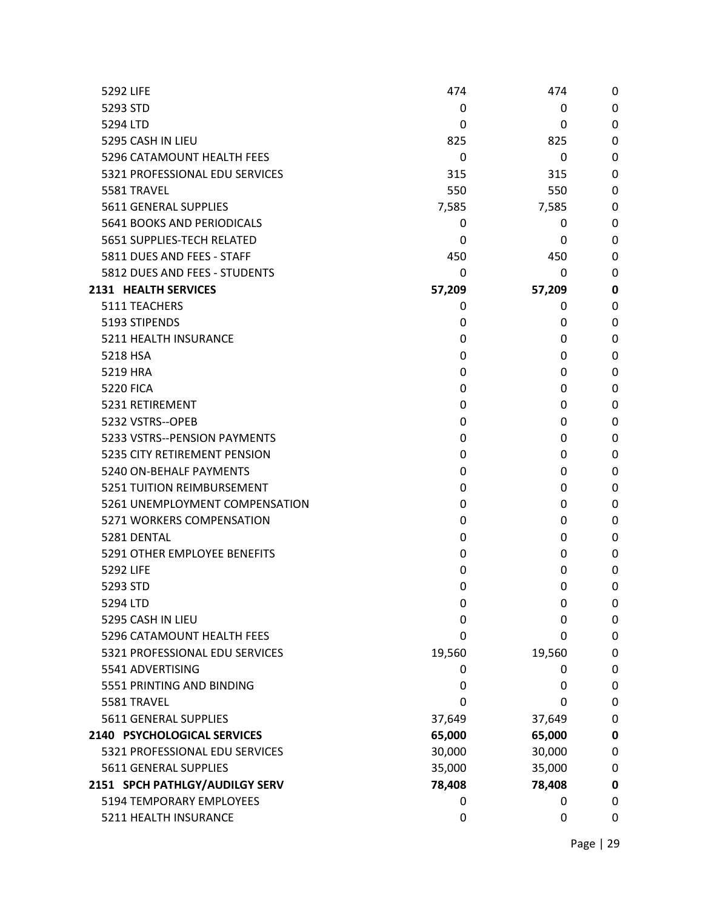| 5292 LIFE                      | 474    | 474          | 0           |
|--------------------------------|--------|--------------|-------------|
| 5293 STD                       | 0      | $\mathbf{0}$ | 0           |
| 5294 LTD                       | 0      | 0            | 0           |
| 5295 CASH IN LIEU              | 825    | 825          | 0           |
| 5296 CATAMOUNT HEALTH FEES     | 0      | 0            | 0           |
| 5321 PROFESSIONAL EDU SERVICES | 315    | 315          | 0           |
| 5581 TRAVEL                    | 550    | 550          | 0           |
| 5611 GENERAL SUPPLIES          | 7,585  | 7,585        | 0           |
| 5641 BOOKS AND PERIODICALS     | 0      | 0            | 0           |
| 5651 SUPPLIES-TECH RELATED     | 0      | 0            | 0           |
| 5811 DUES AND FEES - STAFF     | 450    | 450          | 0           |
| 5812 DUES AND FEES - STUDENTS  | 0      | 0            | 0           |
| 2131 HEALTH SERVICES           | 57,209 | 57,209       | 0           |
| 5111 TEACHERS                  | 0      | 0            | 0           |
| 5193 STIPENDS                  | 0      | 0            | 0           |
| 5211 HEALTH INSURANCE          | 0      | 0            | 0           |
| 5218 HSA                       | 0      | 0            | 0           |
| 5219 HRA                       | 0      | 0            | 0           |
| <b>5220 FICA</b>               | 0      | 0            | 0           |
| 5231 RETIREMENT                | 0      | 0            | 0           |
| 5232 VSTRS--OPEB               | 0      | 0            | 0           |
| 5233 VSTRS--PENSION PAYMENTS   | 0      | 0            | 0           |
| 5235 CITY RETIREMENT PENSION   | 0      | 0            | 0           |
| 5240 ON-BEHALF PAYMENTS        | 0      | 0            | 0           |
| 5251 TUITION REIMBURSEMENT     | 0      | 0            | 0           |
| 5261 UNEMPLOYMENT COMPENSATION | 0      | 0            | 0           |
| 5271 WORKERS COMPENSATION      | 0      | 0            | 0           |
| 5281 DENTAL                    | 0      | 0            | 0           |
| 5291 OTHER EMPLOYEE BENEFITS   | 0      | 0            | 0           |
| 5292 LIFE                      | 0      | 0            | 0           |
| 5293 STD                       | 0      | 0            | 0           |
| 5294 LTD                       | 0      | 0            | 0           |
| 5295 CASH IN LIEU              | 0      | 0            | 0           |
| 5296 CATAMOUNT HEALTH FEES     | 0      | 0            | 0           |
| 5321 PROFESSIONAL EDU SERVICES | 19,560 | 19,560       | 0           |
| 5541 ADVERTISING               | 0      | 0            | 0           |
| 5551 PRINTING AND BINDING      | 0      | 0            | 0           |
| 5581 TRAVEL                    | 0      | 0            | 0           |
| 5611 GENERAL SUPPLIES          | 37,649 | 37,649       | 0           |
| 2140 PSYCHOLOGICAL SERVICES    | 65,000 | 65,000       | $\mathbf 0$ |
| 5321 PROFESSIONAL EDU SERVICES | 30,000 | 30,000       | 0           |
| 5611 GENERAL SUPPLIES          | 35,000 | 35,000       | 0           |
| 2151 SPCH PATHLGY/AUDILGY SERV | 78,408 | 78,408       | 0           |
| 5194 TEMPORARY EMPLOYEES       | 0      | 0            | 0           |
| 5211 HEALTH INSURANCE          | 0      | 0            | 0           |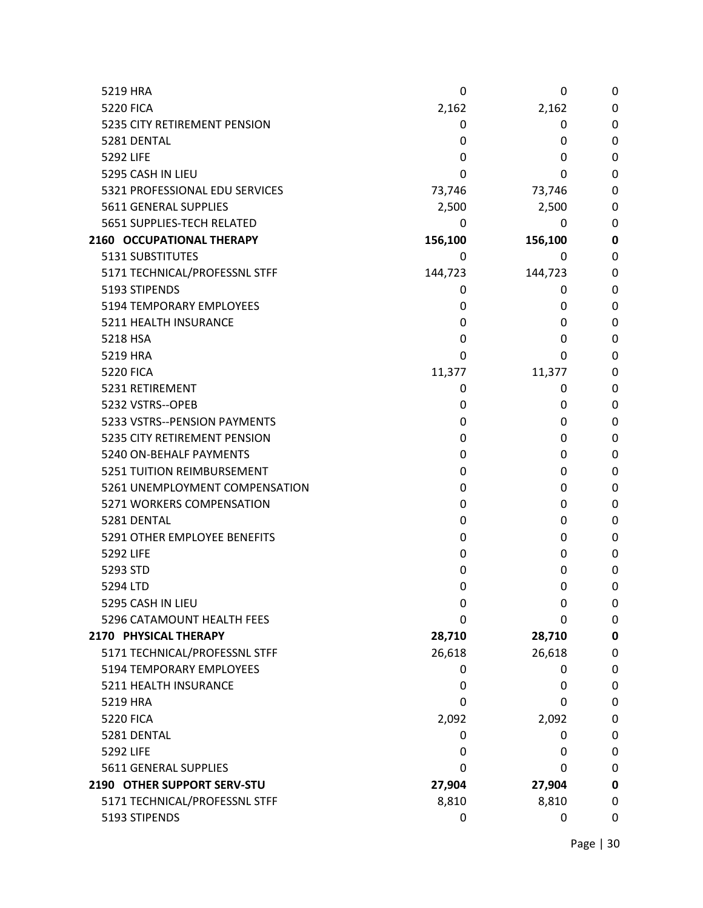| 5219 HRA                       | 0       | 0       | $\mathbf 0$ |
|--------------------------------|---------|---------|-------------|
| <b>5220 FICA</b>               | 2,162   | 2,162   | 0           |
| 5235 CITY RETIREMENT PENSION   | 0       | 0       | 0           |
| 5281 DENTAL                    | 0       | 0       | 0           |
| 5292 LIFE                      | 0       | 0       | 0           |
| 5295 CASH IN LIEU              | 0       | 0       | 0           |
| 5321 PROFESSIONAL EDU SERVICES | 73,746  | 73,746  | 0           |
| 5611 GENERAL SUPPLIES          | 2,500   | 2,500   | 0           |
| 5651 SUPPLIES-TECH RELATED     | 0       | 0       | 0           |
| 2160 OCCUPATIONAL THERAPY      | 156,100 | 156,100 | 0           |
| 5131 SUBSTITUTES               | 0       | 0       | 0           |
| 5171 TECHNICAL/PROFESSNL STFF  | 144,723 | 144,723 | 0           |
| 5193 STIPENDS                  | 0       | 0       | 0           |
| 5194 TEMPORARY EMPLOYEES       | 0       | 0       | 0           |
| 5211 HEALTH INSURANCE          | 0       | 0       | 0           |
| 5218 HSA                       | 0       | 0       | 0           |
| 5219 HRA                       | 0       | 0       | 0           |
| <b>5220 FICA</b>               | 11,377  | 11,377  | 0           |
| 5231 RETIREMENT                | 0       | 0       | 0           |
| 5232 VSTRS--OPEB               | 0       | 0       | 0           |
| 5233 VSTRS--PENSION PAYMENTS   | 0       | 0       | 0           |
| 5235 CITY RETIREMENT PENSION   | 0       | 0       | 0           |
| 5240 ON-BEHALF PAYMENTS        | 0       | 0       | 0           |
| 5251 TUITION REIMBURSEMENT     | 0       | 0       | 0           |
| 5261 UNEMPLOYMENT COMPENSATION | 0       | 0       | 0           |
| 5271 WORKERS COMPENSATION      | 0       | 0       | 0           |
| 5281 DENTAL                    | 0       | 0       | 0           |
| 5291 OTHER EMPLOYEE BENEFITS   | 0       | 0       | 0           |
| 5292 LIFE                      | 0       | 0       | 0           |
| 5293 STD                       | 0       | 0       | 0           |
| 5294 LTD                       | 0       | 0       | 0           |
| 5295 CASH IN LIEU              | 0       | 0       | 0           |
| 5296 CATAMOUNT HEALTH FEES     | 0       | 0       | $\mathbf 0$ |
| 2170 PHYSICAL THERAPY          | 28,710  | 28,710  | $\mathbf 0$ |
| 5171 TECHNICAL/PROFESSNL STFF  | 26,618  | 26,618  | 0           |
| 5194 TEMPORARY EMPLOYEES       | 0       | 0       | $\mathbf 0$ |
| 5211 HEALTH INSURANCE          | 0       | 0       | 0           |
| 5219 HRA                       | 0       | 0       | 0           |
| <b>5220 FICA</b>               | 2,092   | 2,092   | $\mathbf 0$ |
| 5281 DENTAL                    | 0       | 0       | $\mathbf 0$ |
| 5292 LIFE                      | 0       | 0       | $\mathbf 0$ |
| 5611 GENERAL SUPPLIES          | 0       | 0       | 0           |
| 2190 OTHER SUPPORT SERV-STU    | 27,904  | 27,904  | 0           |
| 5171 TECHNICAL/PROFESSNL STFF  | 8,810   | 8,810   | 0           |
| 5193 STIPENDS                  | 0       | 0       | 0           |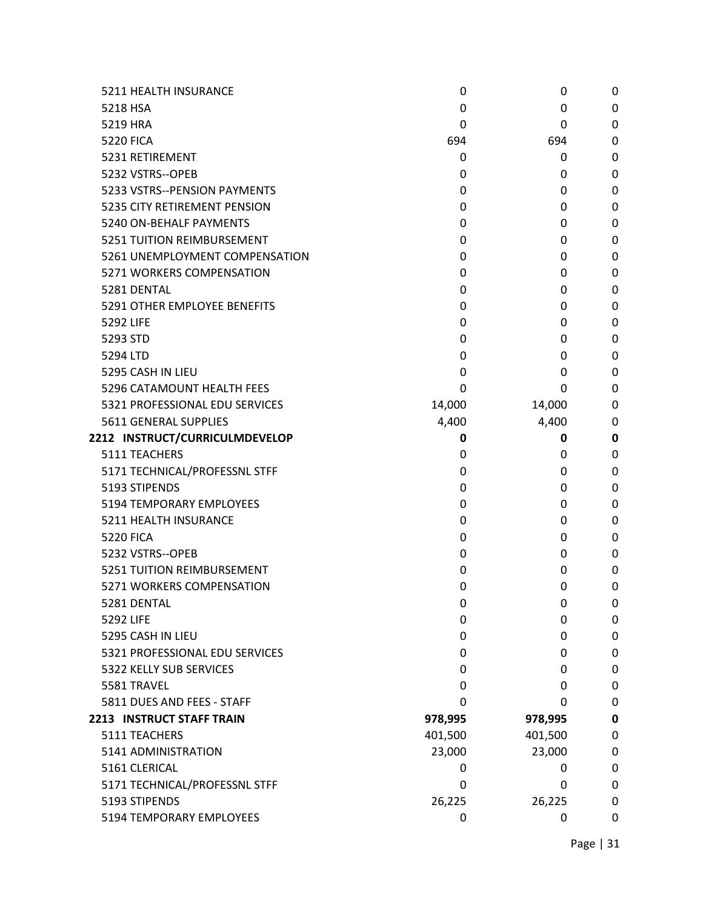| 5211 HEALTH INSURANCE          | 0       | 0       | 0           |
|--------------------------------|---------|---------|-------------|
| 5218 HSA                       | 0       | 0       | 0           |
| 5219 HRA                       | 0       | 0       | 0           |
| <b>5220 FICA</b>               | 694     | 694     | 0           |
| 5231 RETIREMENT                | 0       | 0       | 0           |
| 5232 VSTRS--OPEB               | 0       | 0       | 0           |
| 5233 VSTRS--PENSION PAYMENTS   | 0       | 0       | 0           |
| 5235 CITY RETIREMENT PENSION   | 0       | 0       | 0           |
| 5240 ON-BEHALF PAYMENTS        | 0       | 0       | 0           |
| 5251 TUITION REIMBURSEMENT     | 0       | 0       | 0           |
| 5261 UNEMPLOYMENT COMPENSATION | 0       | 0       | 0           |
| 5271 WORKERS COMPENSATION      | 0       | 0       | 0           |
| 5281 DENTAL                    | 0       | 0       | 0           |
| 5291 OTHER EMPLOYEE BENEFITS   | 0       | 0       | 0           |
| 5292 LIFE                      | 0       | 0       | 0           |
| 5293 STD                       | 0       | 0       | 0           |
| 5294 LTD                       | 0       | 0       | 0           |
| 5295 CASH IN LIEU              | 0       | 0       | 0           |
| 5296 CATAMOUNT HEALTH FEES     | 0       | 0       | 0           |
| 5321 PROFESSIONAL EDU SERVICES | 14,000  | 14,000  | 0           |
| 5611 GENERAL SUPPLIES          | 4,400   | 4,400   | 0           |
| 2212 INSTRUCT/CURRICULMDEVELOP | 0       | 0       | $\bf{0}$    |
| 5111 TEACHERS                  | 0       | 0       | 0           |
| 5171 TECHNICAL/PROFESSNL STFF  | 0       | 0       | 0           |
| 5193 STIPENDS                  | 0       | 0       | 0           |
| 5194 TEMPORARY EMPLOYEES       | 0       | 0       | 0           |
| 5211 HEALTH INSURANCE          | 0       | 0       | 0           |
| <b>5220 FICA</b>               | 0       | 0       | 0           |
| 5232 VSTRS--OPEB               | 0       | 0       | 0           |
| 5251 TUITION REIMBURSEMENT     | 0       | 0       | 0           |
| 5271 WORKERS COMPENSATION      | 0       | 0       | 0           |
| 5281 DENTAL                    | 0       | 0       | 0           |
| 5292 LIFE                      | 0       | 0       | 0           |
| 5295 CASH IN LIEU              | 0       | 0       | 0           |
| 5321 PROFESSIONAL EDU SERVICES | 0       | 0       | 0           |
| 5322 KELLY SUB SERVICES        | 0       | 0       | 0           |
| 5581 TRAVEL                    | 0       | 0       | 0           |
| 5811 DUES AND FEES - STAFF     | 0       | 0       | 0           |
| 2213 INSTRUCT STAFF TRAIN      | 978,995 | 978,995 | $\mathbf 0$ |
| 5111 TEACHERS                  | 401,500 | 401,500 | 0           |
| 5141 ADMINISTRATION            | 23,000  | 23,000  | 0           |
| 5161 CLERICAL                  | 0       | 0       | 0           |
| 5171 TECHNICAL/PROFESSNL STFF  | 0       | 0       | 0           |
| 5193 STIPENDS                  | 26,225  | 26,225  | 0           |
| 5194 TEMPORARY EMPLOYEES       | 0       | 0       | 0           |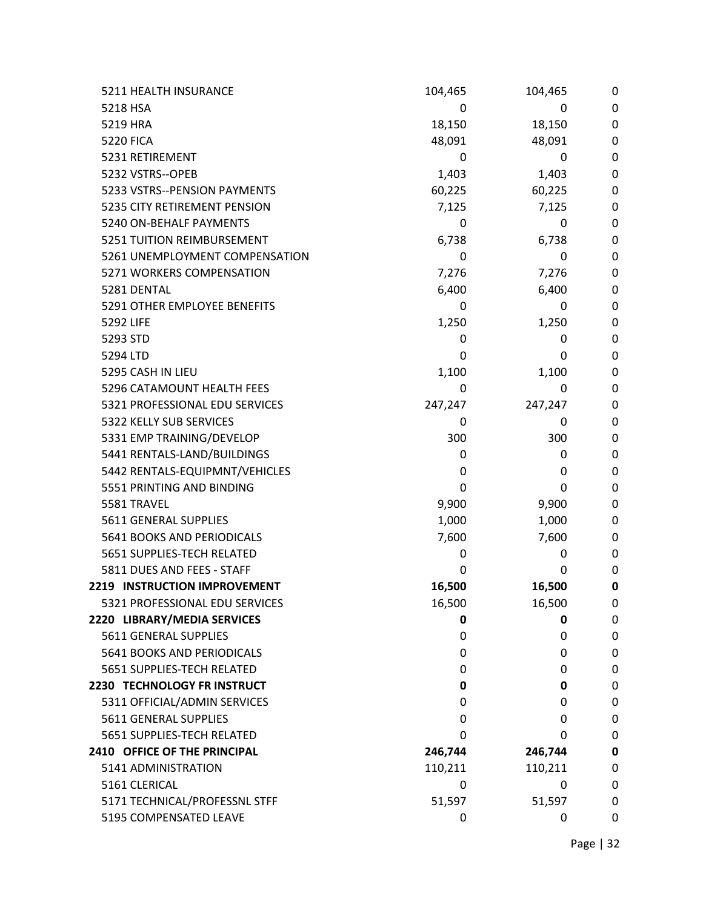| 5211 HEALTH INSURANCE          | 104,465 | 104,465 | 0           |
|--------------------------------|---------|---------|-------------|
| 5218 HSA                       | 0       | 0       | 0           |
| 5219 HRA                       | 18,150  | 18,150  | 0           |
| <b>5220 FICA</b>               | 48,091  | 48,091  | 0           |
| 5231 RETIREMENT                | 0       | 0       | 0           |
| 5232 VSTRS--OPEB               | 1,403   | 1,403   | 0           |
| 5233 VSTRS--PENSION PAYMENTS   | 60,225  | 60,225  | 0           |
| 5235 CITY RETIREMENT PENSION   | 7,125   | 7,125   | 0           |
| 5240 ON-BEHALF PAYMENTS        | 0       | 0       | 0           |
| 5251 TUITION REIMBURSEMENT     | 6,738   | 6,738   | 0           |
| 5261 UNEMPLOYMENT COMPENSATION | 0       | 0       | 0           |
| 5271 WORKERS COMPENSATION      | 7,276   | 7,276   | 0           |
| 5281 DENTAL                    | 6,400   | 6,400   | 0           |
| 5291 OTHER EMPLOYEE BENEFITS   | 0       | 0       | 0           |
| 5292 LIFE                      | 1,250   | 1,250   | 0           |
| 5293 STD                       | 0       | 0       | 0           |
| 5294 LTD                       | 0       | 0       | 0           |
| 5295 CASH IN LIEU              | 1,100   | 1,100   | 0           |
| 5296 CATAMOUNT HEALTH FEES     | 0       | 0       | 0           |
| 5321 PROFESSIONAL EDU SERVICES | 247,247 | 247,247 | 0           |
| 5322 KELLY SUB SERVICES        | 0       | 0       | 0           |
| 5331 EMP TRAINING/DEVELOP      | 300     | 300     | 0           |
| 5441 RENTALS-LAND/BUILDINGS    | 0       | 0       | 0           |
| 5442 RENTALS-EQUIPMNT/VEHICLES | 0       | 0       | 0           |
| 5551 PRINTING AND BINDING      | 0       | 0       | 0           |
| 5581 TRAVEL                    | 9,900   | 9,900   | 0           |
| 5611 GENERAL SUPPLIES          | 1,000   | 1,000   | 0           |
| 5641 BOOKS AND PERIODICALS     | 7,600   | 7,600   | 0           |
| 5651 SUPPLIES-TECH RELATED     | 0       | 0       | 0           |
| 5811 DUES AND FEES - STAFF     | 0       | 0       | 0           |
| 2219 INSTRUCTION IMPROVEMENT   | 16,500  | 16,500  | 0           |
| 5321 PROFESSIONAL EDU SERVICES | 16,500  | 16,500  | 0           |
| 2220 LIBRARY/MEDIA SERVICES    | 0       | 0       | 0           |
| 5611 GENERAL SUPPLIES          | 0       | 0       | 0           |
| 5641 BOOKS AND PERIODICALS     | 0       | 0       | 0           |
| 5651 SUPPLIES-TECH RELATED     | 0       | 0       | 0           |
| 2230 TECHNOLOGY FR INSTRUCT    | 0       | 0       | 0           |
| 5311 OFFICIAL/ADMIN SERVICES   | 0       | 0       | 0           |
| 5611 GENERAL SUPPLIES          | 0       | 0       | 0           |
| 5651 SUPPLIES-TECH RELATED     | 0       | 0       | 0           |
| 2410 OFFICE OF THE PRINCIPAL   | 246,744 | 246,744 | $\mathbf 0$ |
| 5141 ADMINISTRATION            | 110,211 | 110,211 | 0           |
| 5161 CLERICAL                  | 0       | 0       | 0           |
| 5171 TECHNICAL/PROFESSNL STFF  | 51,597  | 51,597  | 0           |
| 5195 COMPENSATED LEAVE         | 0       | 0       | 0           |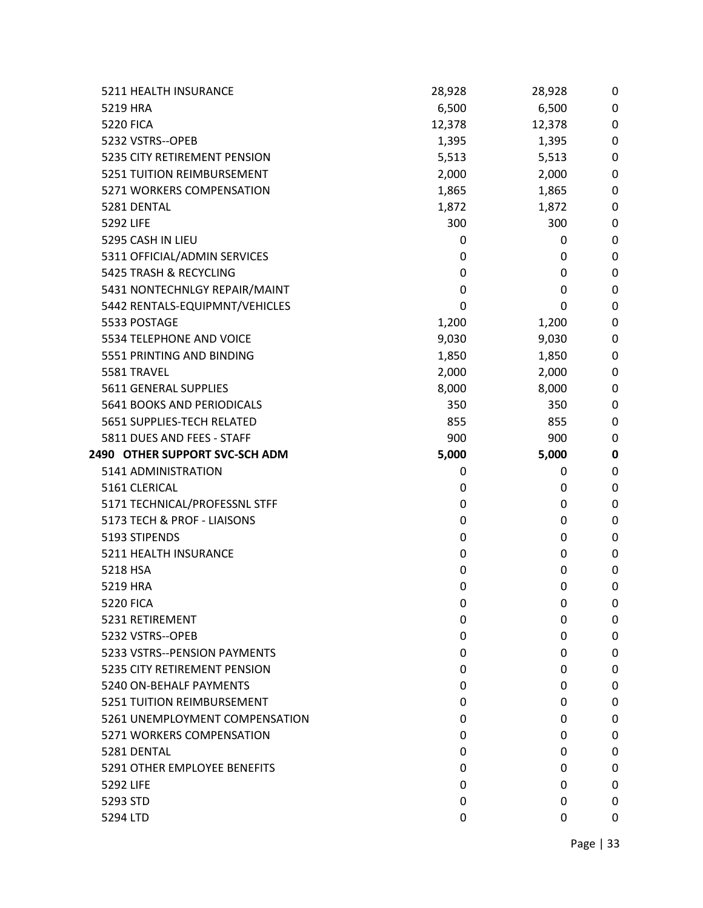| 5211 HEALTH INSURANCE          | 28,928 | 28,928 | 0           |
|--------------------------------|--------|--------|-------------|
| 5219 HRA                       | 6,500  | 6,500  | 0           |
| <b>5220 FICA</b>               | 12,378 | 12,378 | 0           |
| 5232 VSTRS--OPEB               | 1,395  | 1,395  | 0           |
| 5235 CITY RETIREMENT PENSION   | 5,513  | 5,513  | 0           |
| 5251 TUITION REIMBURSEMENT     | 2,000  | 2,000  | 0           |
| 5271 WORKERS COMPENSATION      | 1,865  | 1,865  | $\mathbf 0$ |
| 5281 DENTAL                    | 1,872  | 1,872  | 0           |
| 5292 LIFE                      | 300    | 300    | 0           |
| 5295 CASH IN LIEU              | 0      | 0      | 0           |
| 5311 OFFICIAL/ADMIN SERVICES   | 0      | 0      | 0           |
| 5425 TRASH & RECYCLING         | 0      | 0      | $\pmb{0}$   |
| 5431 NONTECHNLGY REPAIR/MAINT  | 0      | 0      | 0           |
| 5442 RENTALS-EQUIPMNT/VEHICLES | 0      | 0      | 0           |
| 5533 POSTAGE                   | 1,200  | 1,200  | 0           |
| 5534 TELEPHONE AND VOICE       | 9,030  | 9,030  | 0           |
| 5551 PRINTING AND BINDING      | 1,850  | 1,850  | $\pmb{0}$   |
| 5581 TRAVEL                    | 2,000  | 2,000  | 0           |
| 5611 GENERAL SUPPLIES          | 8,000  | 8,000  | 0           |
| 5641 BOOKS AND PERIODICALS     | 350    | 350    | 0           |
| 5651 SUPPLIES-TECH RELATED     | 855    | 855    | 0           |
| 5811 DUES AND FEES - STAFF     | 900    | 900    | $\mathbf 0$ |
| 2490 OTHER SUPPORT SVC-SCH ADM | 5,000  | 5,000  | $\pmb{0}$   |
| 5141 ADMINISTRATION            | 0      | 0      | 0           |
| 5161 CLERICAL                  | 0      | 0      | 0           |
| 5171 TECHNICAL/PROFESSNL STFF  | 0      | 0      | 0           |
| 5173 TECH & PROF - LIAISONS    | 0      | 0      | $\pmb{0}$   |
| 5193 STIPENDS                  | 0      | 0      | 0           |
| 5211 HEALTH INSURANCE          | 0      | 0      | 0           |
| 5218 HSA                       | 0      | 0      | 0           |
| 5219 HRA                       | 0      | 0      | 0           |
| <b>5220 FICA</b>               | 0      | 0      | 0           |
| 5231 RETIREMENT                | 0      | 0      | 0           |
| 5232 VSTRS--OPEB               | 0      | 0      | 0           |
| 5233 VSTRS--PENSION PAYMENTS   | 0      | 0      | 0           |
| 5235 CITY RETIREMENT PENSION   | 0      | 0      | 0           |
| 5240 ON-BEHALF PAYMENTS        | 0      | 0      | 0           |
| 5251 TUITION REIMBURSEMENT     | 0      | 0      | 0           |
| 5261 UNEMPLOYMENT COMPENSATION | 0      | 0      | 0           |
| 5271 WORKERS COMPENSATION      | 0      | 0      | 0           |
| 5281 DENTAL                    | 0      | 0      | 0           |
| 5291 OTHER EMPLOYEE BENEFITS   | 0      | 0      | 0           |
| 5292 LIFE                      | 0      | 0      | 0           |
| 5293 STD                       | 0      | 0      | 0           |
| 5294 LTD                       | 0      | 0      | 0           |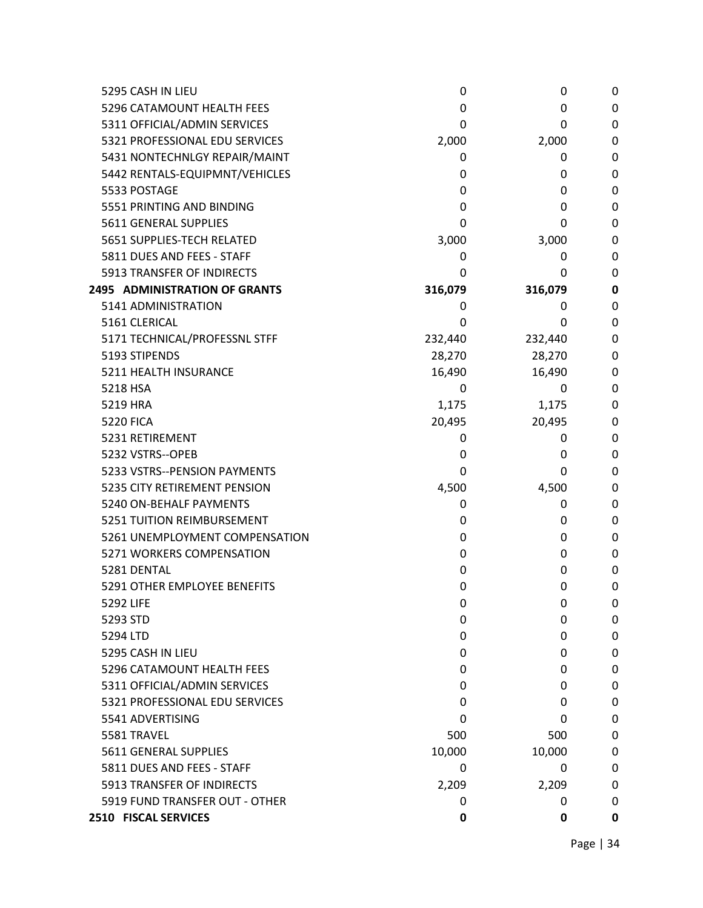| 5295 CASH IN LIEU                    | 0       | 0       | 0        |
|--------------------------------------|---------|---------|----------|
| 5296 CATAMOUNT HEALTH FEES           | 0       | 0       | 0        |
| 5311 OFFICIAL/ADMIN SERVICES         | 0       | 0       | 0        |
| 5321 PROFESSIONAL EDU SERVICES       | 2,000   | 2,000   | 0        |
| 5431 NONTECHNLGY REPAIR/MAINT        | 0       | 0       | 0        |
| 5442 RENTALS-EQUIPMNT/VEHICLES       | 0       | 0       | 0        |
| 5533 POSTAGE                         | 0       | 0       | 0        |
| 5551 PRINTING AND BINDING            | 0       | 0       | 0        |
| 5611 GENERAL SUPPLIES                | 0       | 0       | 0        |
| 5651 SUPPLIES-TECH RELATED           | 3,000   | 3,000   | 0        |
| 5811 DUES AND FEES - STAFF           | 0       | 0       | 0        |
| 5913 TRANSFER OF INDIRECTS           | 0       | 0       | 0        |
| <b>2495 ADMINISTRATION OF GRANTS</b> | 316,079 | 316,079 | $\bf{0}$ |
| 5141 ADMINISTRATION                  | 0       | 0       | 0        |
| 5161 CLERICAL                        | 0       | 0       | 0        |
| 5171 TECHNICAL/PROFESSNL STFF        | 232,440 | 232,440 | 0        |
| 5193 STIPENDS                        | 28,270  | 28,270  | 0        |
| 5211 HEALTH INSURANCE                | 16,490  | 16,490  | 0        |
| 5218 HSA                             | 0       | 0       | 0        |
| 5219 HRA                             | 1,175   | 1,175   | 0        |
| <b>5220 FICA</b>                     | 20,495  | 20,495  | 0        |
| 5231 RETIREMENT                      | 0       | 0       | 0        |
| 5232 VSTRS--OPEB                     | 0       | 0       | 0        |
| 5233 VSTRS--PENSION PAYMENTS         | 0       | 0       | 0        |
| 5235 CITY RETIREMENT PENSION         | 4,500   | 4,500   | 0        |
| 5240 ON-BEHALF PAYMENTS              | 0       | 0       | 0        |
| 5251 TUITION REIMBURSEMENT           | 0       | 0       | 0        |
| 5261 UNEMPLOYMENT COMPENSATION       | 0       | 0       | 0        |
| 5271 WORKERS COMPENSATION            | 0       | 0       | 0        |
| 5281 DENTAL                          | 0       | 0       | 0        |
| 5291 OTHER EMPLOYEE BENEFITS         | 0       | 0       | 0        |
| 5292 LIFE                            | 0       | 0       | 0        |
| 5293 STD                             | 0       | 0       | 0        |
| 5294 LTD                             | 0       | 0       | 0        |
| 5295 CASH IN LIEU                    | 0       | 0       | 0        |
| 5296 CATAMOUNT HEALTH FEES           | 0       | 0       | 0        |
| 5311 OFFICIAL/ADMIN SERVICES         | 0       | 0       | 0        |
| 5321 PROFESSIONAL EDU SERVICES       | 0       | 0       | 0        |
| 5541 ADVERTISING                     | 0       | 0       | 0        |
| 5581 TRAVEL                          | 500     | 500     | 0        |
| 5611 GENERAL SUPPLIES                | 10,000  | 10,000  | 0        |
| 5811 DUES AND FEES - STAFF           | 0       | 0       | 0        |
| 5913 TRANSFER OF INDIRECTS           | 2,209   | 2,209   | 0        |
| 5919 FUND TRANSFER OUT - OTHER       | 0       | 0       | 0        |
| 2510 FISCAL SERVICES                 | 0       | 0       | 0        |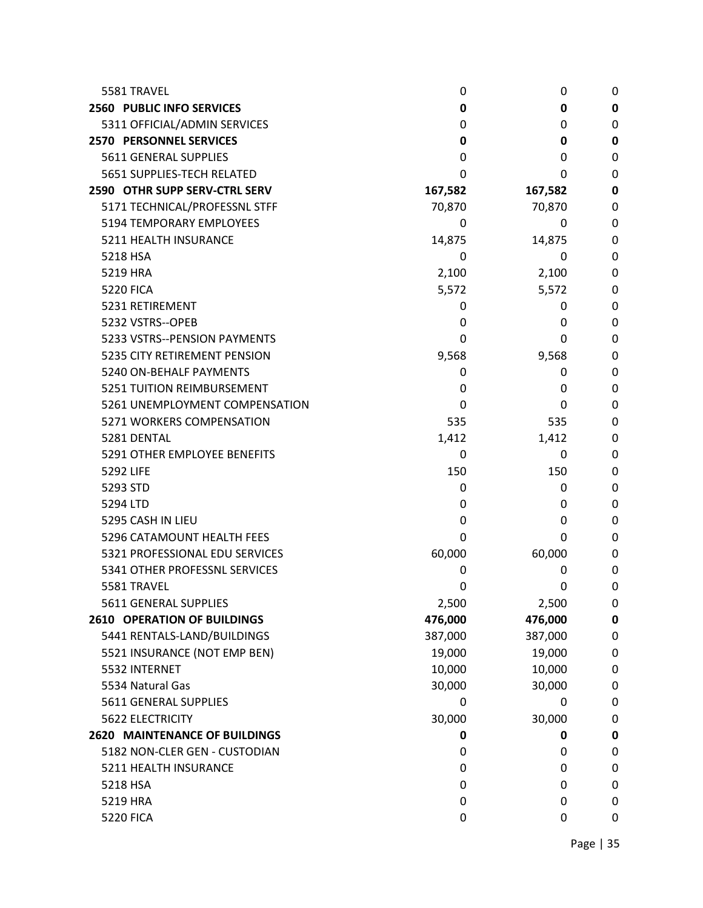| 5581 TRAVEL                          | 0       | 0       | 0         |
|--------------------------------------|---------|---------|-----------|
| 2560 PUBLIC INFO SERVICES            | 0       | 0       | 0         |
| 5311 OFFICIAL/ADMIN SERVICES         | 0       | 0       | 0         |
| <b>2570 PERSONNEL SERVICES</b>       | 0       | 0       | 0         |
| 5611 GENERAL SUPPLIES                | 0       | 0       | 0         |
| 5651 SUPPLIES-TECH RELATED           | 0       | 0       | 0         |
| 2590 OTHR SUPP SERV-CTRL SERV        | 167,582 | 167,582 | 0         |
| 5171 TECHNICAL/PROFESSNL STFF        | 70,870  | 70,870  | 0         |
| 5194 TEMPORARY EMPLOYEES             | 0       | 0       | 0         |
| 5211 HEALTH INSURANCE                | 14,875  | 14,875  | 0         |
| 5218 HSA                             | 0       | 0       | 0         |
| 5219 HRA                             | 2,100   | 2,100   | 0         |
| <b>5220 FICA</b>                     | 5,572   | 5,572   | 0         |
| 5231 RETIREMENT                      | 0       | 0       | 0         |
| 5232 VSTRS--OPEB                     | 0       | 0       | 0         |
| 5233 VSTRS--PENSION PAYMENTS         | 0       | 0       | 0         |
| 5235 CITY RETIREMENT PENSION         | 9,568   | 9,568   | 0         |
| 5240 ON-BEHALF PAYMENTS              | 0       | 0       | 0         |
| 5251 TUITION REIMBURSEMENT           | 0       | 0       | 0         |
| 5261 UNEMPLOYMENT COMPENSATION       | 0       | 0       | 0         |
| 5271 WORKERS COMPENSATION            | 535     | 535     | 0         |
| 5281 DENTAL                          | 1,412   | 1,412   | 0         |
| 5291 OTHER EMPLOYEE BENEFITS         | 0       | 0       | 0         |
| 5292 LIFE                            | 150     | 150     | 0         |
| 5293 STD                             | 0       | 0       | 0         |
| 5294 LTD                             | 0       | 0       | 0         |
| 5295 CASH IN LIEU                    | 0       | 0       | 0         |
| 5296 CATAMOUNT HEALTH FEES           | 0       | 0       | 0         |
| 5321 PROFESSIONAL EDU SERVICES       | 60,000  | 60,000  | 0         |
| 5341 OTHER PROFESSNL SERVICES        | 0       | 0       | 0         |
| 5581 TRAVEL                          | 0       | 0       | 0         |
| 5611 GENERAL SUPPLIES                | 2,500   | 2,500   | 0         |
| <b>2610 OPERATION OF BUILDINGS</b>   | 476,000 | 476,000 | $\pmb{0}$ |
| 5441 RENTALS-LAND/BUILDINGS          | 387,000 | 387,000 | 0         |
| 5521 INSURANCE (NOT EMP BEN)         | 19,000  | 19,000  | 0         |
| 5532 INTERNET                        | 10,000  | 10,000  | 0         |
| 5534 Natural Gas                     | 30,000  | 30,000  | 0         |
| 5611 GENERAL SUPPLIES                | 0       | 0       | 0         |
| 5622 ELECTRICITY                     | 30,000  | 30,000  | 0         |
| <b>2620 MAINTENANCE OF BUILDINGS</b> | 0       | 0       | 0         |
| 5182 NON-CLER GEN - CUSTODIAN        | 0       | 0       | 0         |
| 5211 HEALTH INSURANCE                | 0       | 0       | 0         |
| 5218 HSA                             | 0       | 0       | 0         |
| 5219 HRA                             | 0       | 0       | 0         |
| <b>5220 FICA</b>                     | 0       | 0       | 0         |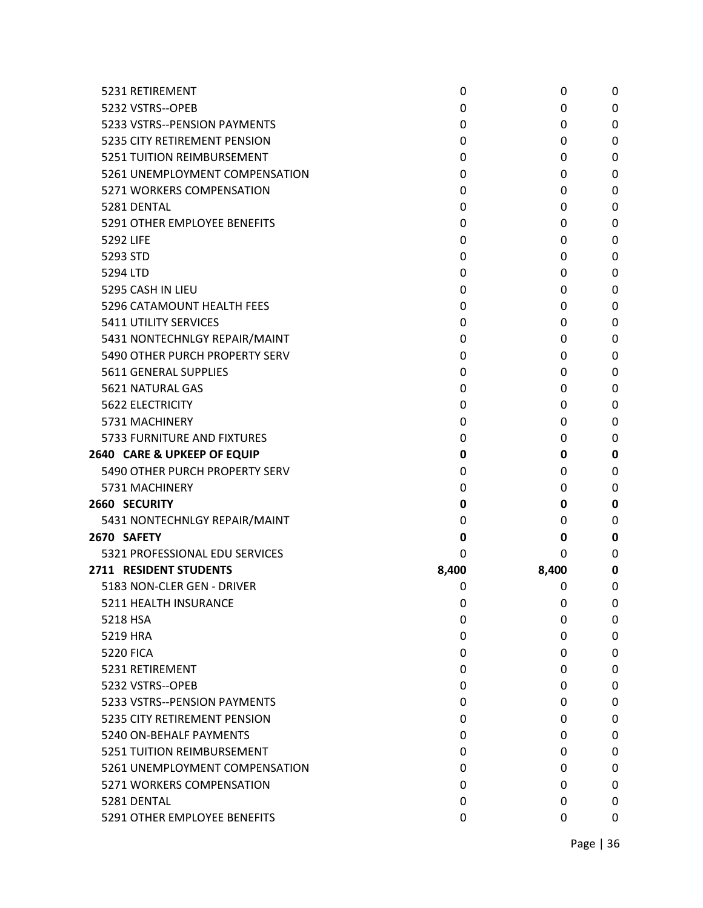| 5231 RETIREMENT                | 0     | 0     | 0 |
|--------------------------------|-------|-------|---|
| 5232 VSTRS--OPEB               | 0     | 0     | 0 |
| 5233 VSTRS--PENSION PAYMENTS   | 0     | 0     | 0 |
| 5235 CITY RETIREMENT PENSION   | 0     | 0     | 0 |
| 5251 TUITION REIMBURSEMENT     | 0     | 0     | 0 |
| 5261 UNEMPLOYMENT COMPENSATION | 0     | 0     | 0 |
| 5271 WORKERS COMPENSATION      | 0     | 0     | 0 |
| 5281 DENTAL                    | 0     | 0     | 0 |
| 5291 OTHER EMPLOYEE BENEFITS   | 0     | 0     | 0 |
| 5292 LIFE                      | 0     | 0     | 0 |
| 5293 STD                       | 0     | 0     | 0 |
| 5294 LTD                       | 0     | 0     | 0 |
| 5295 CASH IN LIEU              | 0     | 0     | 0 |
| 5296 CATAMOUNT HEALTH FEES     | 0     | 0     | 0 |
| 5411 UTILITY SERVICES          | 0     | 0     | 0 |
| 5431 NONTECHNLGY REPAIR/MAINT  | 0     | 0     | 0 |
| 5490 OTHER PURCH PROPERTY SERV | 0     | 0     | 0 |
| 5611 GENERAL SUPPLIES          | 0     | 0     | 0 |
| 5621 NATURAL GAS               | 0     | 0     | 0 |
| <b>5622 ELECTRICITY</b>        | 0     | 0     | 0 |
| 5731 MACHINERY                 | 0     | 0     | 0 |
| 5733 FURNITURE AND FIXTURES    | 0     | 0     | 0 |
| 2640 CARE & UPKEEP OF EQUIP    | 0     | 0     | 0 |
| 5490 OTHER PURCH PROPERTY SERV | 0     | 0     | 0 |
| 5731 MACHINERY                 | 0     | 0     | 0 |
| 2660 SECURITY                  | 0     | 0     | 0 |
| 5431 NONTECHNLGY REPAIR/MAINT  | 0     | 0     | 0 |
| 2670 SAFETY                    | 0     | 0     | 0 |
| 5321 PROFESSIONAL EDU SERVICES | 0     | 0     | 0 |
| 2711 RESIDENT STUDENTS         | 8,400 | 8,400 | 0 |
| 5183 NON-CLER GEN - DRIVER     | 0     | 0     | 0 |
| 5211 HEALTH INSURANCE          | 0     | 0     | 0 |
| 5218 HSA                       | 0     | 0     | 0 |
| 5219 HRA                       | 0     | 0     | 0 |
| <b>5220 FICA</b>               | 0     | 0     | 0 |
| 5231 RETIREMENT                | 0     | 0     | 0 |
| 5232 VSTRS--OPEB               | 0     | 0     | 0 |
| 5233 VSTRS--PENSION PAYMENTS   | 0     | 0     | 0 |
| 5235 CITY RETIREMENT PENSION   | 0     | 0     | 0 |
| 5240 ON-BEHALF PAYMENTS        | 0     | 0     | 0 |
| 5251 TUITION REIMBURSEMENT     | 0     | 0     | 0 |
| 5261 UNEMPLOYMENT COMPENSATION | 0     | 0     | 0 |
| 5271 WORKERS COMPENSATION      | 0     | 0     | 0 |
| 5281 DENTAL                    | 0     | 0     | 0 |
| 5291 OTHER EMPLOYEE BENEFITS   | 0     | 0     | 0 |